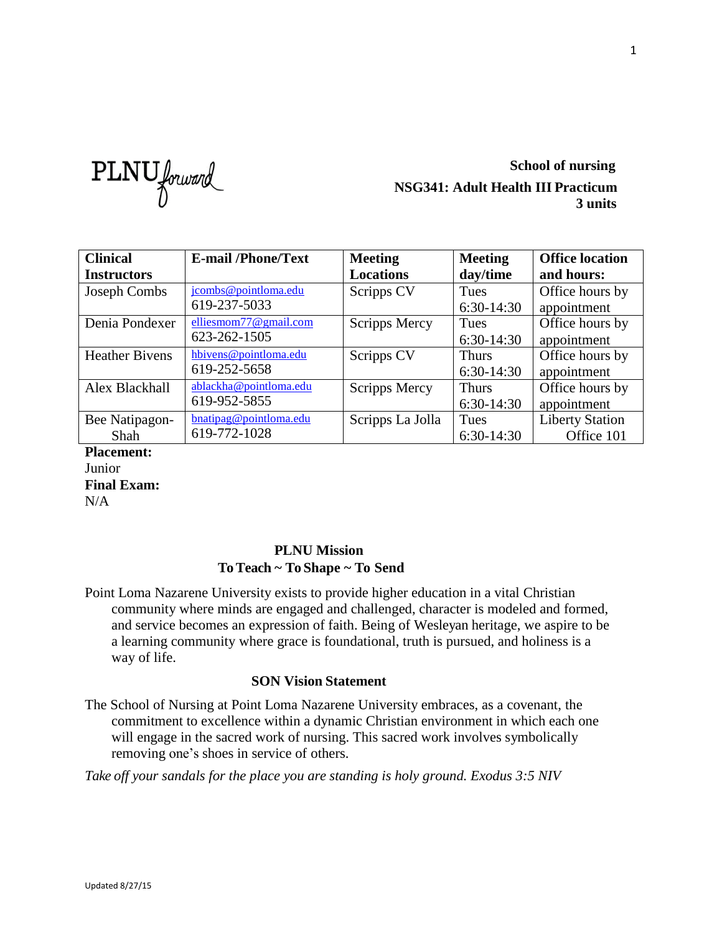PLNU forward

## **School of nursing NSG341: Adult Health III Practicum 3 units**

| <b>Clinical</b>       | <b>E-mail/Phone/Text</b> | <b>Meeting</b>   | <b>Meeting</b> | <b>Office location</b> |
|-----------------------|--------------------------|------------------|----------------|------------------------|
| <b>Instructors</b>    |                          | <b>Locations</b> | day/time       | and hours:             |
| Joseph Combs          | jcombs@pointloma.edu     | Scripps CV       | Tues           | Office hours by        |
|                       | 619-237-5033             |                  | $6:30-14:30$   | appointment            |
| Denia Pondexer        | elliesmom77@gmail.com    | Scripps Mercy    | Tues           | Office hours by        |
|                       | 623-262-1505             |                  | $6:30-14:30$   | appointment            |
| <b>Heather Bivens</b> | hbivens@pointloma.edu    | Scripps CV       | <b>Thurs</b>   | Office hours by        |
|                       | 619-252-5658             |                  | $6:30-14:30$   | appointment            |
| Alex Blackhall        | ablackha@pointloma.edu   | Scripps Mercy    | <b>Thurs</b>   | Office hours by        |
|                       | 619-952-5855             |                  | $6:30-14:30$   | appointment            |
| Bee Natipagon-        | bnatipag@pointloma.edu   | Scripps La Jolla | Tues           | <b>Liberty Station</b> |
| Shah                  | 619-772-1028             |                  | $6:30-14:30$   | Office 101             |

**Placement:** Junior **Final Exam:** N/A

## **PLNU Mission To Teach ~ To Shape ~ To Send**

Point Loma Nazarene University exists to provide higher education in a vital Christian community where minds are engaged and challenged, character is modeled and formed, and service becomes an expression of faith. Being of Wesleyan heritage, we aspire to be a learning community where grace is foundational, truth is pursued, and holiness is a way of life.

## **SON Vision Statement**

The School of Nursing at Point Loma Nazarene University embraces, as a covenant, the commitment to excellence within a dynamic Christian environment in which each one will engage in the sacred work of nursing. This sacred work involves symbolically removing one's shoes in service of others.

*Take off your sandals for the place you are standing is holy ground. Exodus 3:5 NIV*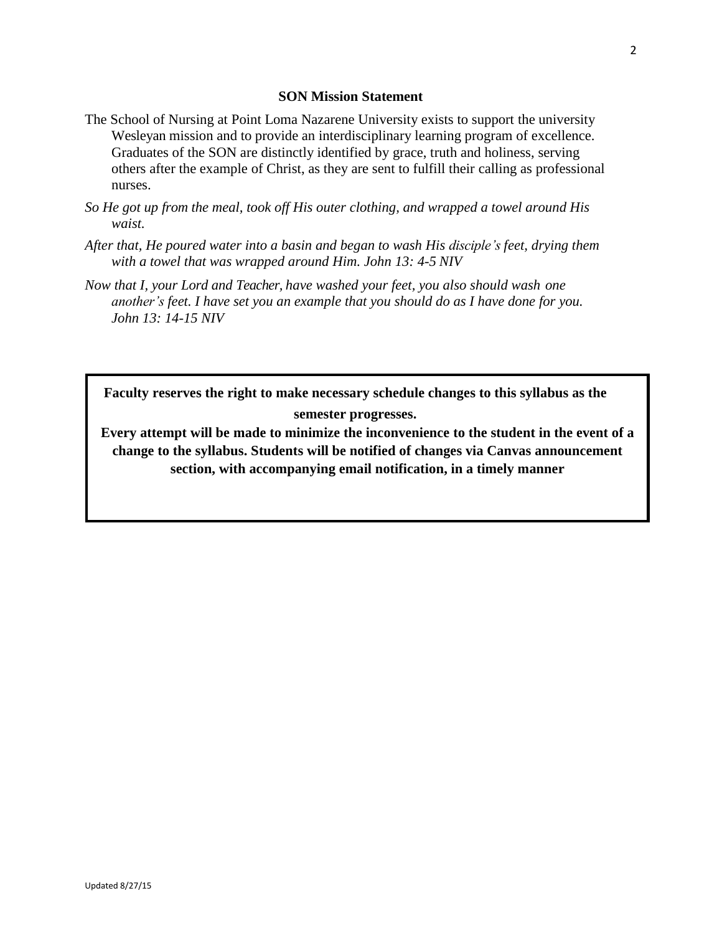#### **SON Mission Statement**

- The School of Nursing at Point Loma Nazarene University exists to support the university Wesleyan mission and to provide an interdisciplinary learning program of excellence. Graduates of the SON are distinctly identified by grace, truth and holiness, serving others after the example of Christ, as they are sent to fulfill their calling as professional nurses.
- *So He got up from the meal, took off His outer clothing, and wrapped a towel around His waist.*
- *After that, He poured water into a basin and began to wash His disciple's feet, drying them with a towel that was wrapped around Him. John 13: 4-5 NIV*
- *Now that I, your Lord and Teacher, have washed your feet, you also should wash one another's feet. I have set you an example that you should do as I have done for you. John 13: 14-15 NIV*

**Faculty reserves the right to make necessary schedule changes to this syllabus as the semester progresses.**

**Every attempt will be made to minimize the inconvenience to the student in the event of a change to the syllabus. Students will be notified of changes via Canvas announcement section, with accompanying email notification, in a timely manner**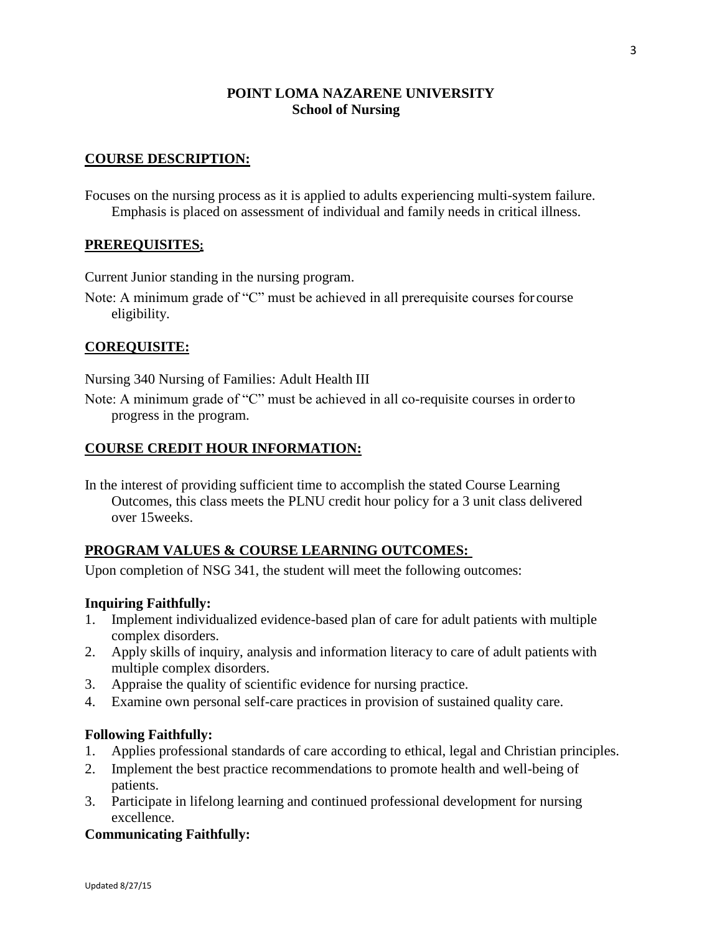## **POINT LOMA NAZARENE UNIVERSITY School of Nursing**

### **COURSE DESCRIPTION:**

Focuses on the nursing process as it is applied to adults experiencing multi-system failure. Emphasis is placed on assessment of individual and family needs in critical illness.

#### **PREREQUISITES:**

Current Junior standing in the nursing program.

Note: A minimum grade of "C" must be achieved in all prerequisite courses for course eligibility.

### **COREQUISITE:**

Nursing 340 Nursing of Families: Adult Health III

Note: A minimum grade of "C" must be achieved in all co-requisite courses in orderto progress in the program.

### **COURSE CREDIT HOUR INFORMATION:**

In the interest of providing sufficient time to accomplish the stated Course Learning Outcomes, this class meets the PLNU credit hour policy for a 3 unit class delivered over 15weeks.

### **PROGRAM VALUES & COURSE LEARNING OUTCOMES:**

Upon completion of NSG 341, the student will meet the following outcomes:

#### **Inquiring Faithfully:**

- 1. Implement individualized evidence-based plan of care for adult patients with multiple complex disorders.
- 2. Apply skills of inquiry, analysis and information literacy to care of adult patients with multiple complex disorders.
- 3. Appraise the quality of scientific evidence for nursing practice.
- 4. Examine own personal self-care practices in provision of sustained quality care.

#### **Following Faithfully:**

- 1. Applies professional standards of care according to ethical, legal and Christian principles.
- 2. Implement the best practice recommendations to promote health and well-being of patients.
- 3. Participate in lifelong learning and continued professional development for nursing excellence.

#### **Communicating Faithfully:**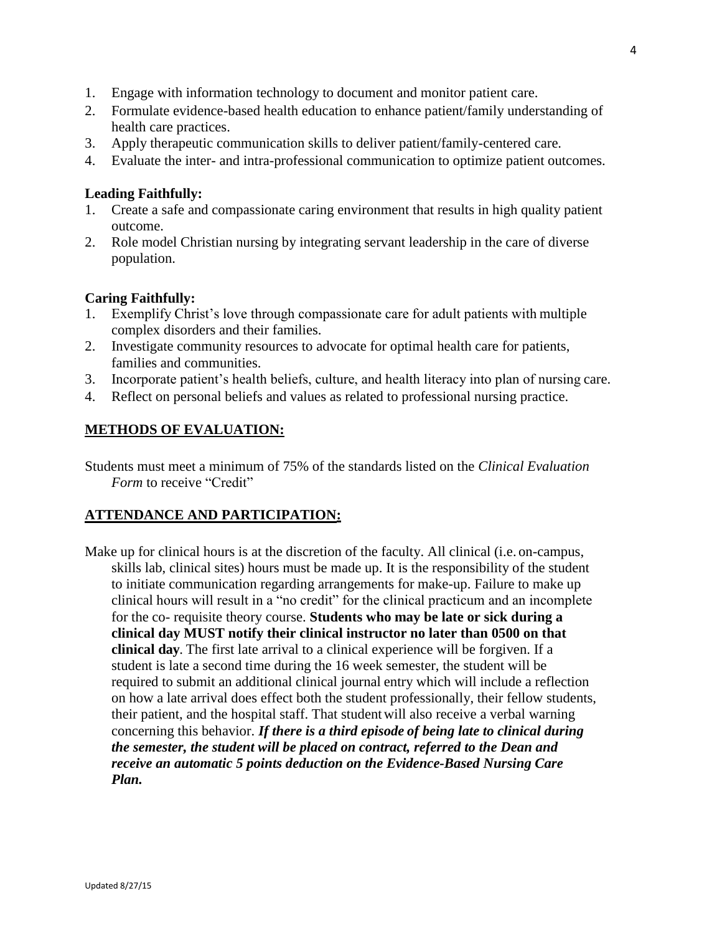- 1. Engage with information technology to document and monitor patient care.
- 2. Formulate evidence-based health education to enhance patient/family understanding of health care practices.
- 3. Apply therapeutic communication skills to deliver patient/family-centered care.
- 4. Evaluate the inter- and intra-professional communication to optimize patient outcomes.

#### **Leading Faithfully:**

- 1. Create a safe and compassionate caring environment that results in high quality patient outcome.
- 2. Role model Christian nursing by integrating servant leadership in the care of diverse population.

#### **Caring Faithfully:**

- 1. Exemplify Christ's love through compassionate care for adult patients with multiple complex disorders and their families.
- 2. Investigate community resources to advocate for optimal health care for patients, families and communities.
- 3. Incorporate patient's health beliefs, culture, and health literacy into plan of nursing care.
- 4. Reflect on personal beliefs and values as related to professional nursing practice.

#### **METHODS OF EVALUATION:**

Students must meet a minimum of 75% of the standards listed on the *Clinical Evaluation Form* to receive "Credit"

### **ATTENDANCE AND PARTICIPATION:**

Make up for clinical hours is at the discretion of the faculty. All clinical (i.e. on-campus, skills lab, clinical sites) hours must be made up. It is the responsibility of the student to initiate communication regarding arrangements for make-up. Failure to make up clinical hours will result in a "no credit" for the clinical practicum and an incomplete for the co- requisite theory course. **Students who may be late or sick during a clinical day MUST notify their clinical instructor no later than 0500 on that clinical day**. The first late arrival to a clinical experience will be forgiven. If a student is late a second time during the 16 week semester, the student will be required to submit an additional clinical journal entry which will include a reflection on how a late arrival does effect both the student professionally, their fellow students, their patient, and the hospital staff. That studentwill also receive a verbal warning concerning this behavior. *If there is a third episode of being late to clinical during the semester, the student will be placed on contract, referred to the Dean and receive an automatic 5 points deduction on the Evidence-Based Nursing Care Plan.*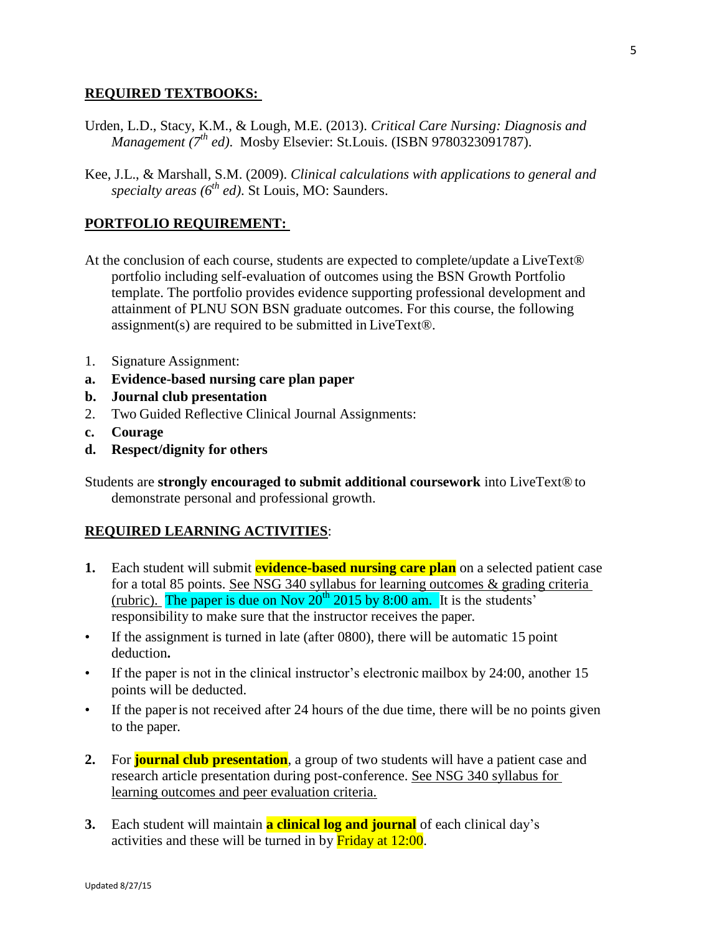#### **REQUIRED TEXTBOOKS:**

- Urden, L.D., Stacy, K.M., & Lough, M.E. (2013). *Critical Care Nursing: Diagnosis and Management (7th ed)*. Mosby Elsevier: St.Louis. (ISBN 9780323091787).
- Kee, J.L., & Marshall, S.M. (2009). *Clinical calculations with applications to general and specialty areas (6th ed)*. St Louis, MO: Saunders.

## **PORTFOLIO REQUIREMENT:**

- At the conclusion of each course, students are expected to complete/update a LiveText® portfolio including self-evaluation of outcomes using the BSN Growth Portfolio template. The portfolio provides evidence supporting professional development and attainment of PLNU SON BSN graduate outcomes. For this course, the following assignment(s) are required to be submitted in LiveText®.
- 1. Signature Assignment:
- **a. Evidence-based nursing care plan paper**
- **b. Journal club presentation**
- 2. Two Guided Reflective Clinical Journal Assignments:
- **c. Courage**
- **d. Respect/dignity for others**

Students are **strongly encouraged to submit additional coursework** into LiveText® to demonstrate personal and professional growth.

### **REQUIRED LEARNING ACTIVITIES**:

- **1.** Each student will submit **evidence-based nursing care plan** on a selected patient case for a total 85 points. See NSG 340 syllabus for learning outcomes & grading criteria (rubric). The paper is due on Nov  $20^{th}$  2015 by 8:00 am. It is the students' responsibility to make sure that the instructor receives the paper.
- If the assignment is turned in late (after 0800), there will be automatic 15 point deduction**.**
- If the paper is not in the clinical instructor's electronic mailbox by 24:00, another 15 points will be deducted.
- If the paper is not received after 24 hours of the due time, there will be no points given to the paper.
- **2.** For **journal club presentation**, a group of two students will have a patient case and research article presentation during post-conference. See NSG 340 syllabus for learning outcomes and peer evaluation criteria.
- **3.** Each student will maintain **a clinical log and journal** of each clinical day's activities and these will be turned in by **Friday at 12:00**.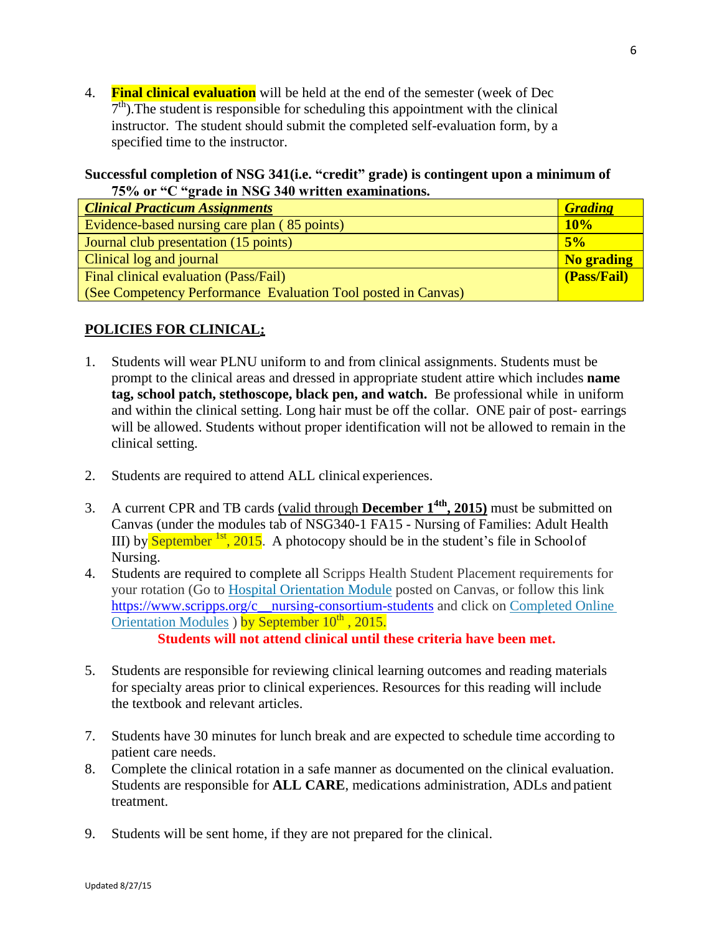4. **Final clinical evaluation** will be held at the end of the semester (week of Dec  $7<sup>th</sup>$ ). The student is responsible for scheduling this appointment with the clinical instructor. The student should submit the completed self-evaluation form, by a specified time to the instructor.

### **Successful completion of NSG 341(i.e. "credit" grade) is contingent upon a minimum of 75% or "C "grade in NSG 340 written examinations.**

| <b>Clinical Practicum Assignments</b>                         | <b>Grading</b> |
|---------------------------------------------------------------|----------------|
| Evidence-based nursing care plan (85 points)                  | 10%            |
| Journal club presentation (15 points)                         | 5%             |
| Clinical log and journal                                      | No grading     |
| Final clinical evaluation (Pass/Fail)                         | (Pass/Fail)    |
| (See Competency Performance Evaluation Tool posted in Canvas) |                |

## **POLICIES FOR CLINICAL:**

- 1. Students will wear PLNU uniform to and from clinical assignments. Students must be prompt to the clinical areas and dressed in appropriate student attire which includes **name tag, school patch, stethoscope, black pen, and watch.** Be professional while in uniform and within the clinical setting. Long hair must be off the collar. ONE pair of post- earrings will be allowed. Students without proper identification will not be allowed to remain in the clinical setting.
- 2. Students are required to attend ALL clinical experiences.
- 3. A current CPR and TB cards (valid through **December 1 4th , 2015)** must be submitted on Canvas (under the modules tab of NSG340-1 FA15 - Nursing of Families: Adult Health III) by September  $^{1st}$ , 2015. A photocopy should be in the student's file in School of Nursing.
- 4. Students are required to complete all Scripps Health Student Placement requirements for your rotation (Go to [Hospital Orientation Module](https://canvas.pointloma.edu/courses/25674/modules/26264) posted on Canvas, or follow this link [https://www.scripps.org/c\\_\\_nursing-consortium-students](https://www.scripps.org/c__nursing-consortium-students) and click on Completed Online [Orientation Modules](https://www.scripps.org/c__nursing-consortium-students#modules) ) by September 10<sup>th</sup>, 2015. **Students will not attend clinical until these criteria have been met.**
	-
- 5. Students are responsible for reviewing clinical learning outcomes and reading materials for specialty areas prior to clinical experiences. Resources for this reading will include the textbook and relevant articles.
- 7. Students have 30 minutes for lunch break and are expected to schedule time according to patient care needs.
- 8. Complete the clinical rotation in a safe manner as documented on the clinical evaluation. Students are responsible for **ALL CARE**, medications administration, ADLs and patient treatment.
- 9. Students will be sent home, if they are not prepared for the clinical.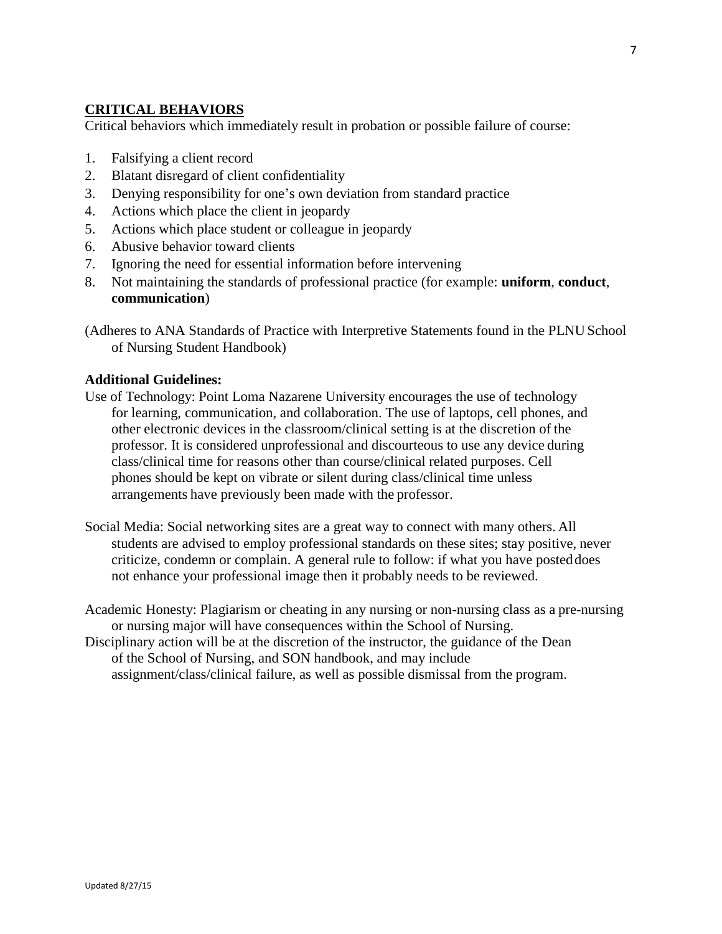## **CRITICAL BEHAVIORS**

Critical behaviors which immediately result in probation or possible failure of course:

- 1. Falsifying a client record
- 2. Blatant disregard of client confidentiality
- 3. Denying responsibility for one's own deviation from standard practice
- 4. Actions which place the client in jeopardy
- 5. Actions which place student or colleague in jeopardy
- 6. Abusive behavior toward clients
- 7. Ignoring the need for essential information before intervening
- 8. Not maintaining the standards of professional practice (for example: **uniform**, **conduct**, **communication**)
- (Adheres to ANA Standards of Practice with Interpretive Statements found in the PLNU School of Nursing Student Handbook)

#### **Additional Guidelines:**

- Use of Technology: Point Loma Nazarene University encourages the use of technology for learning, communication, and collaboration. The use of laptops, cell phones, and other electronic devices in the classroom/clinical setting is at the discretion of the professor. It is considered unprofessional and discourteous to use any device during class/clinical time for reasons other than course/clinical related purposes. Cell phones should be kept on vibrate or silent during class/clinical time unless arrangements have previously been made with the professor.
- Social Media: Social networking sites are a great way to connect with many others. All students are advised to employ professional standards on these sites; stay positive, never criticize, condemn or complain. A general rule to follow: if what you have posteddoes not enhance your professional image then it probably needs to be reviewed.
- Academic Honesty: Plagiarism or cheating in any nursing or non-nursing class as a pre-nursing or nursing major will have consequences within the School of Nursing.
- Disciplinary action will be at the discretion of the instructor, the guidance of the Dean of the School of Nursing, and SON handbook, and may include assignment/class/clinical failure, as well as possible dismissal from the program.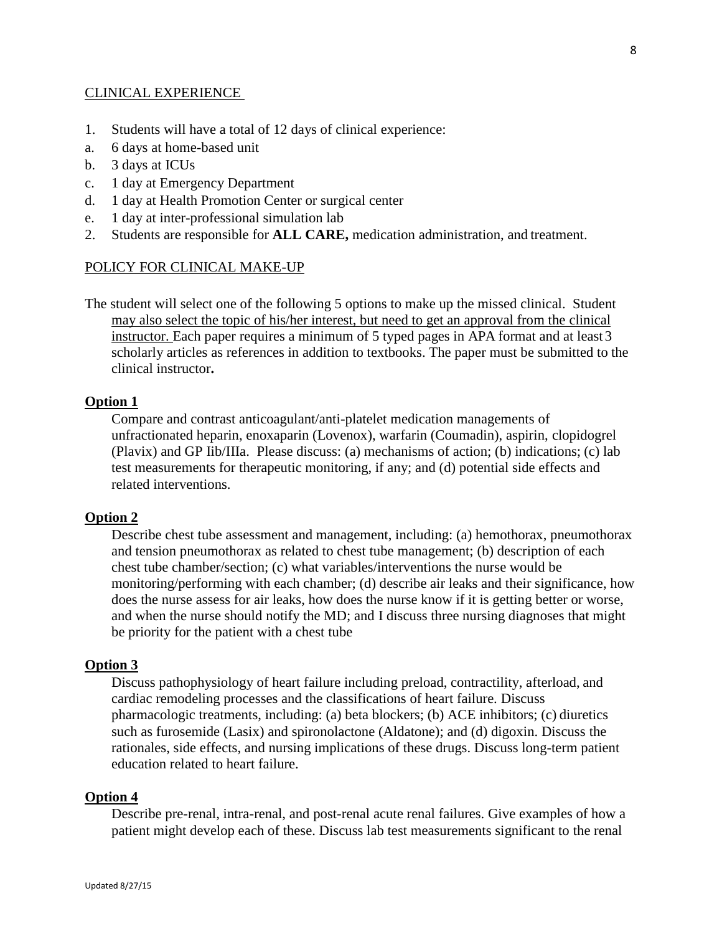#### CLINICAL EXPERIENCE

- 1. Students will have a total of 12 days of clinical experience:
- a. 6 days at home-based unit
- b. 3 days at ICUs
- c. 1 day at Emergency Department
- d. 1 day at Health Promotion Center or surgical center
- e. 1 day at inter-professional simulation lab
- 2. Students are responsible for **ALL CARE,** medication administration, and treatment.

#### POLICY FOR CLINICAL MAKE-UP

The student will select one of the following 5 options to make up the missed clinical. Student may also select the topic of his/her interest, but need to get an approval from the clinical instructor. Each paper requires a minimum of 5 typed pages in APA format and at least 3 scholarly articles as references in addition to textbooks. The paper must be submitted to the clinical instructor**.**

#### **Option 1**

Compare and contrast anticoagulant/anti-platelet medication managements of unfractionated heparin, enoxaparin (Lovenox), warfarin (Coumadin), aspirin, clopidogrel (Plavix) and GP Iib/IIIa. Please discuss: (a) mechanisms of action; (b) indications; (c) lab test measurements for therapeutic monitoring, if any; and (d) potential side effects and related interventions.

#### **Option 2**

Describe chest tube assessment and management, including: (a) hemothorax, pneumothorax and tension pneumothorax as related to chest tube management; (b) description of each chest tube chamber/section; (c) what variables/interventions the nurse would be monitoring/performing with each chamber; (d) describe air leaks and their significance, how does the nurse assess for air leaks, how does the nurse know if it is getting better or worse, and when the nurse should notify the MD; and I discuss three nursing diagnoses that might be priority for the patient with a chest tube

#### **Option 3**

Discuss pathophysiology of heart failure including preload, contractility, afterload, and cardiac remodeling processes and the classifications of heart failure. Discuss pharmacologic treatments, including: (a) beta blockers; (b) ACE inhibitors; (c) diuretics such as furosemide (Lasix) and spironolactone (Aldatone); and (d) digoxin. Discuss the rationales, side effects, and nursing implications of these drugs. Discuss long-term patient education related to heart failure.

#### **Option 4**

Describe pre-renal, intra-renal, and post-renal acute renal failures. Give examples of how a patient might develop each of these. Discuss lab test measurements significant to the renal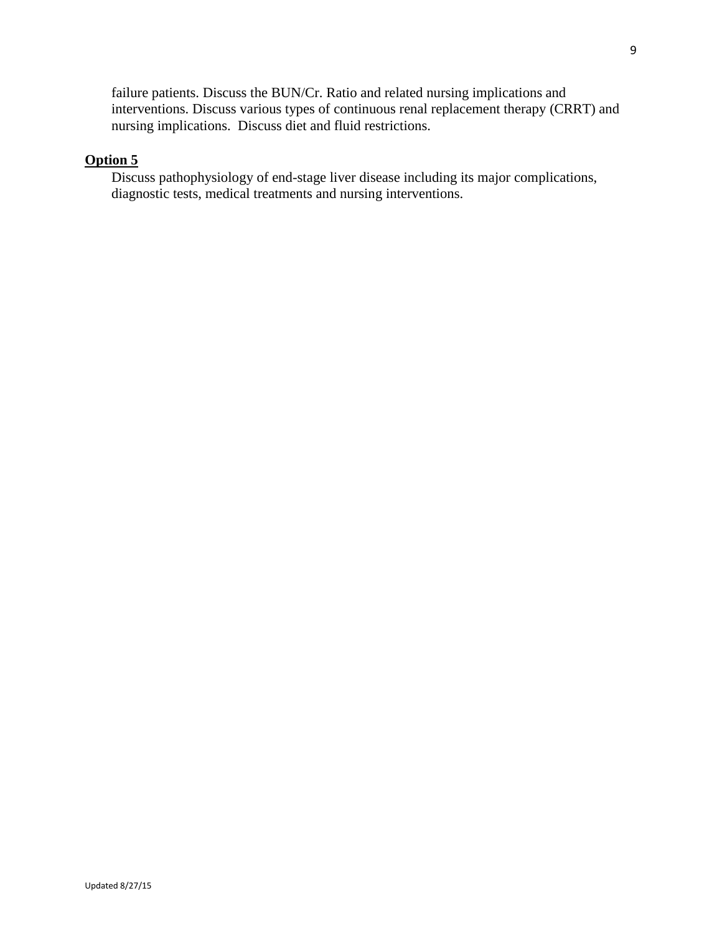failure patients. Discuss the BUN/Cr. Ratio and related nursing implications and interventions. Discuss various types of continuous renal replacement therapy (CRRT) and nursing implications. Discuss diet and fluid restrictions.

## **Option 5**

Discuss pathophysiology of end-stage liver disease including its major complications, diagnostic tests, medical treatments and nursing interventions.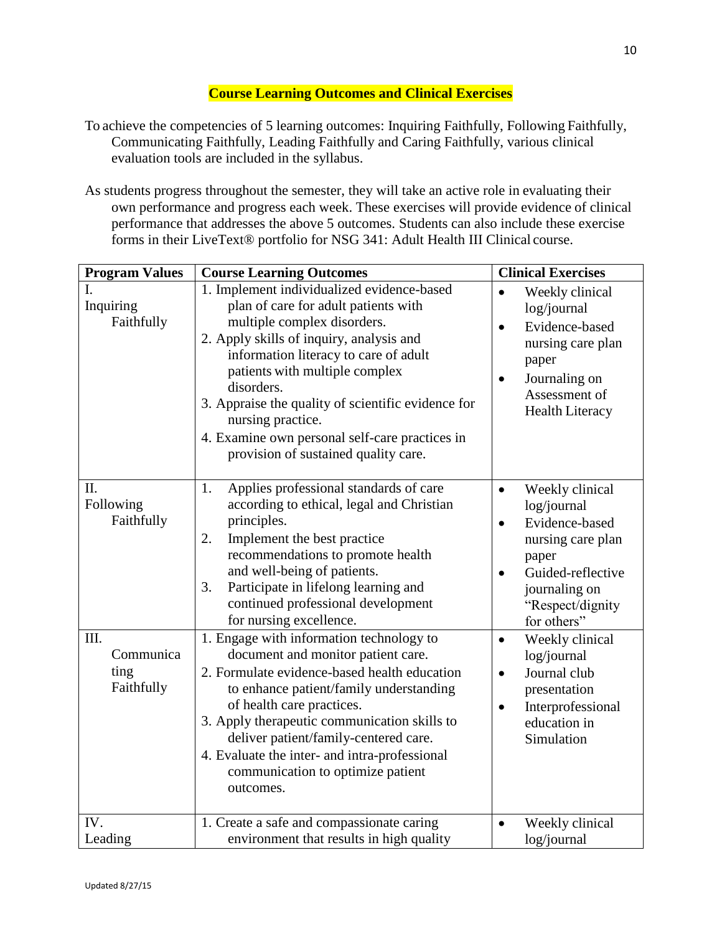## **Course Learning Outcomes and Clinical Exercises**

- To achieve the competencies of 5 learning outcomes: Inquiring Faithfully, Following Faithfully, Communicating Faithfully, Leading Faithfully and Caring Faithfully, various clinical evaluation tools are included in the syllabus.
- As students progress throughout the semester, they will take an active role in evaluating their own performance and progress each week. These exercises will provide evidence of clinical performance that addresses the above 5 outcomes. Students can also include these exercise forms in their LiveText® portfolio for NSG 341: Adult Health III Clinical course.

| <b>Program Values</b>                   | <b>Course Learning Outcomes</b>                                                                                                                                                                                                                                                                                                                                                                                             | <b>Clinical Exercises</b>                                                                                                                                                         |
|-----------------------------------------|-----------------------------------------------------------------------------------------------------------------------------------------------------------------------------------------------------------------------------------------------------------------------------------------------------------------------------------------------------------------------------------------------------------------------------|-----------------------------------------------------------------------------------------------------------------------------------------------------------------------------------|
| I.<br>Inquiring<br>Faithfully           | 1. Implement individualized evidence-based<br>plan of care for adult patients with<br>multiple complex disorders.<br>2. Apply skills of inquiry, analysis and<br>information literacy to care of adult<br>patients with multiple complex<br>disorders.<br>3. Appraise the quality of scientific evidence for<br>nursing practice.<br>4. Examine own personal self-care practices in<br>provision of sustained quality care. | $\bullet$<br>Weekly clinical<br>log/journal<br>Evidence-based<br>$\bullet$<br>nursing care plan<br>paper<br>Journaling on<br>$\bullet$<br>Assessment of<br><b>Health Literacy</b> |
| II.<br>Following<br>Faithfully          | Applies professional standards of care<br>1.<br>according to ethical, legal and Christian<br>principles.<br>Implement the best practice<br>2.<br>recommendations to promote health<br>and well-being of patients.<br>Participate in lifelong learning and<br>3.<br>continued professional development<br>for nursing excellence.                                                                                            | Weekly clinical<br>$\bullet$<br>log/journal<br>Evidence-based<br>$\bullet$<br>nursing care plan<br>paper<br>Guided-reflective<br>journaling on<br>"Respect/dignity<br>for others" |
| III.<br>Communica<br>ting<br>Faithfully | 1. Engage with information technology to<br>document and monitor patient care.<br>2. Formulate evidence-based health education<br>to enhance patient/family understanding<br>of health care practices.<br>3. Apply therapeutic communication skills to<br>deliver patient/family-centered care.<br>4. Evaluate the inter- and intra-professional<br>communication to optimize patient<br>outcomes.                          | Weekly clinical<br>$\bullet$<br>log/journal<br>Journal club<br>$\bullet$<br>presentation<br>Interprofessional<br>$\bullet$<br>education in<br>Simulation                          |
| IV.<br>Leading                          | 1. Create a safe and compassionate caring<br>environment that results in high quality                                                                                                                                                                                                                                                                                                                                       | Weekly clinical<br>log/journal                                                                                                                                                    |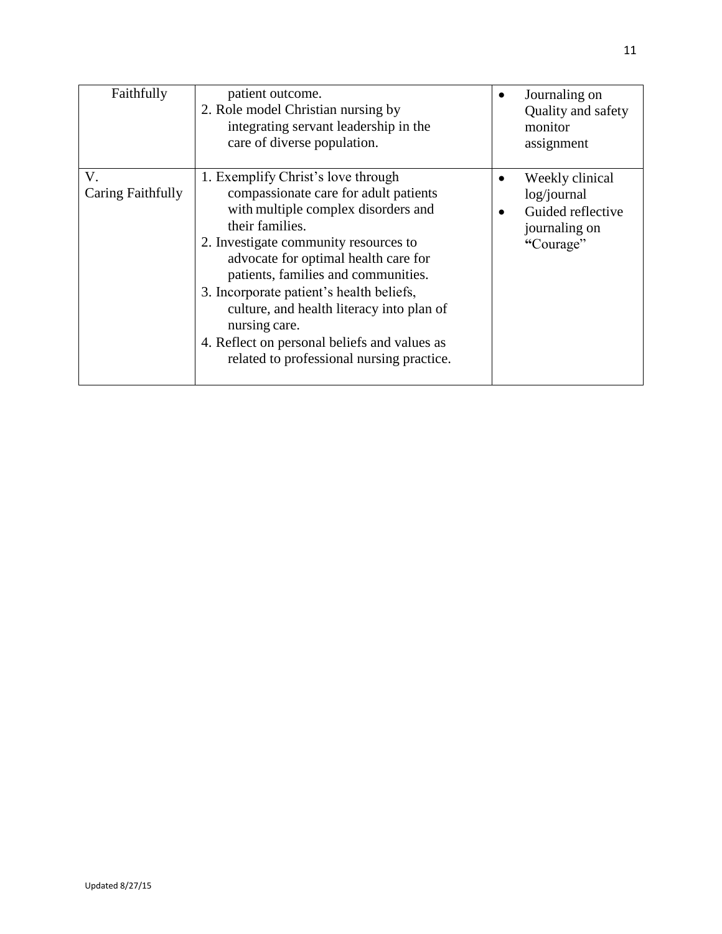| Faithfully              | patient outcome.<br>2. Role model Christian nursing by<br>integrating servant leadership in the<br>care of diverse population.                                                                                                                                                                                                                                                                                                                                       | Journaling on<br>Quality and safety<br>monitor<br>assignment                      |
|-------------------------|----------------------------------------------------------------------------------------------------------------------------------------------------------------------------------------------------------------------------------------------------------------------------------------------------------------------------------------------------------------------------------------------------------------------------------------------------------------------|-----------------------------------------------------------------------------------|
| V.<br>Caring Faithfully | 1. Exemplify Christ's love through<br>compassionate care for adult patients<br>with multiple complex disorders and<br>their families.<br>2. Investigate community resources to<br>advocate for optimal health care for<br>patients, families and communities.<br>3. Incorporate patient's health beliefs,<br>culture, and health literacy into plan of<br>nursing care.<br>4. Reflect on personal beliefs and values as<br>related to professional nursing practice. | Weekly clinical<br>log/journal<br>Guided reflective<br>journaling on<br>"Courage" |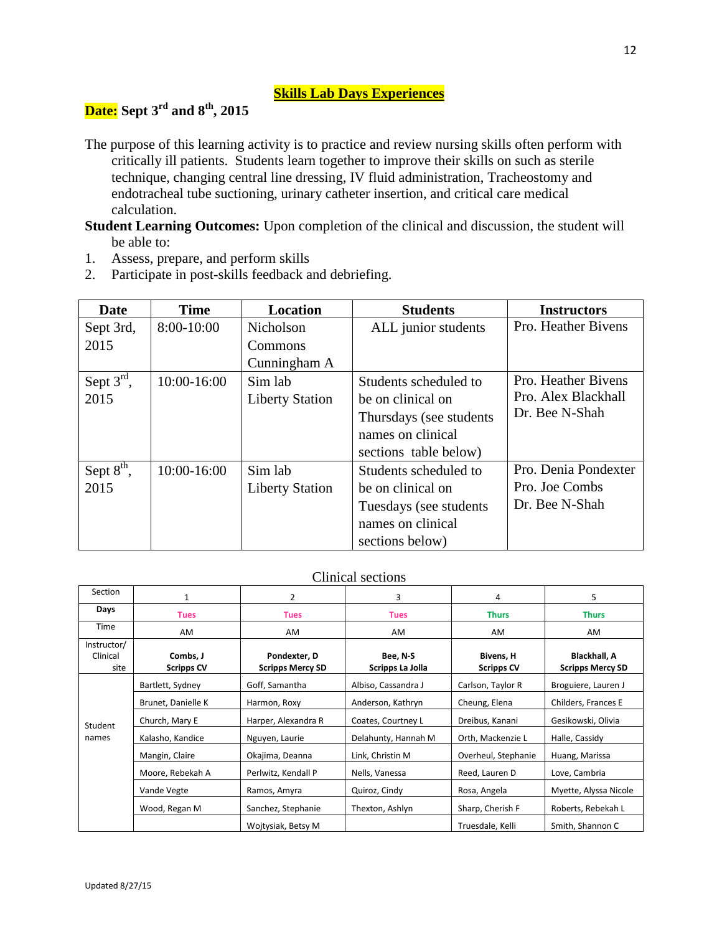## **Skills Lab Days Experiences**

# **Date: Sept 3rd and 8th, 2015**

The purpose of this learning activity is to practice and review nursing skills often perform with critically ill patients. Students learn together to improve their skills on such as sterile technique, changing central line dressing, IV fluid administration, Tracheostomy and endotracheal tube suctioning, urinary catheter insertion, and critical care medical calculation.

**Student Learning Outcomes:** Upon completion of the clinical and discussion, the student will be able to:

- 1. Assess, prepare, and perform skills
- 2. Participate in post-skills feedback and debriefing.

| <b>Date</b>            | <b>Time</b> | Location               | <b>Students</b>          | <b>Instructors</b>   |
|------------------------|-------------|------------------------|--------------------------|----------------------|
| Sept 3rd,              | 8:00-10:00  | Nicholson              | ALL junior students      | Pro. Heather Bivens  |
| 2015                   |             | Commons                |                          |                      |
|                        |             | Cunningham A           |                          |                      |
| Sept $3^{\text{rd}}$ , | 10:00-16:00 | Sim lab                | Students scheduled to    | Pro. Heather Bivens  |
| 2015                   |             | <b>Liberty Station</b> | be on clinical on        | Pro. Alex Blackhall  |
|                        |             |                        | Thursdays (see students) | Dr. Bee N-Shah       |
|                        |             |                        | names on clinical        |                      |
|                        |             |                        | sections table below)    |                      |
| Sept $8th$ ,           | 10:00-16:00 | Sim lab                | Students scheduled to    | Pro. Denia Pondexter |
| 2015                   |             | <b>Liberty Station</b> | be on clinical on        | Pro. Joe Combs       |
|                        |             |                        | Tuesdays (see students)  | Dr. Bee N-Shah       |
|                        |             |                        | names on clinical        |                      |
|                        |             |                        | sections below)          |                      |

### Clinical sections

| Section                         |                               | 2                                       | 3                            | 4                              | 5                                              |
|---------------------------------|-------------------------------|-----------------------------------------|------------------------------|--------------------------------|------------------------------------------------|
| Days                            | <b>Tues</b>                   | <b>Tues</b>                             | <b>Tues</b>                  | <b>Thurs</b>                   | <b>Thurs</b>                                   |
| Time                            | AM                            | AM                                      | AM                           | AM                             | AM                                             |
| Instructor/<br>Clinical<br>site | Combs, J<br><b>Scripps CV</b> | Pondexter, D<br><b>Scripps Mercy SD</b> | Bee, N-S<br>Scripps La Jolla | Bivens, H<br><b>Scripps CV</b> | <b>Blackhall, A</b><br><b>Scripps Mercy SD</b> |
|                                 | Bartlett, Sydney              | Goff, Samantha                          | Albiso, Cassandra J          | Carlson, Taylor R              | Broguiere, Lauren J                            |
|                                 | Brunet, Danielle K            | Harmon, Roxy                            | Anderson, Kathryn            | Cheung, Elena                  | Childers, Frances E                            |
| Student                         | Church, Mary E                | Harper, Alexandra R                     | Coates, Courtney L           | Dreibus, Kanani                | Gesikowski, Olivia                             |
| names                           | Kalasho, Kandice              | Nguyen, Laurie                          | Delahunty, Hannah M          | Orth, Mackenzie L              | Halle, Cassidy                                 |
|                                 | Mangin, Claire                | Okajima, Deanna                         | Link, Christin M             | Overheul, Stephanie            | Huang, Marissa                                 |
|                                 | Moore, Rebekah A              | Perlwitz, Kendall P                     | Nells, Vanessa               | Reed, Lauren D                 | Love, Cambria                                  |
|                                 | Vande Vegte                   | Ramos, Amyra                            | Quiroz, Cindy                | Rosa, Angela                   | Myette, Alyssa Nicole                          |
|                                 | Wood, Regan M                 | Sanchez, Stephanie                      | Thexton, Ashlyn              | Sharp, Cherish F               | Roberts, Rebekah L                             |
|                                 |                               | Woitysiak, Betsy M                      |                              | Truesdale, Kelli               | Smith, Shannon C                               |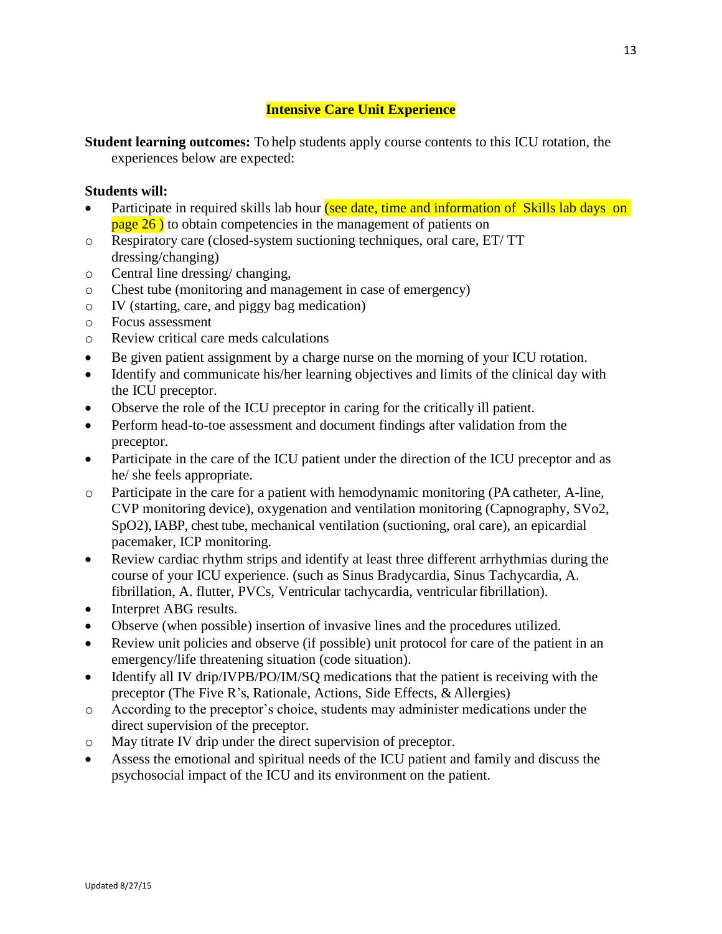## **Intensive Care Unit Experience**

**Student learning outcomes:** To help students apply course contents to this ICU rotation, the experiences below are expected:

### **Students will:**

- Participate in required skills lab hour (see date, time and information of Skills lab days on  $page 26$ ) to obtain competencies in the management of patients on
- o Respiratory care (closed-system suctioning techniques, oral care, ET/ TT dressing/changing)
- o Central line dressing/ changing,
- o Chest tube (monitoring and management in case of emergency)
- o IV (starting, care, and piggy bag medication)
- o Focus assessment
- o Review critical care meds calculations
- Be given patient assignment by a charge nurse on the morning of your ICU rotation.
- Identify and communicate his/her learning objectives and limits of the clinical day with the ICU preceptor.
- Observe the role of the ICU preceptor in caring for the critically ill patient.
- Perform head-to-toe assessment and document findings after validation from the preceptor.
- Participate in the care of the ICU patient under the direction of the ICU preceptor and as he/ she feels appropriate.
- o Participate in the care for a patient with hemodynamic monitoring (PA catheter, A-line, CVP monitoring device), oxygenation and ventilation monitoring (Capnography, SVo2, SpO2), IABP, chest tube, mechanical ventilation (suctioning, oral care), an epicardial pacemaker, ICP monitoring.
- Review cardiac rhythm strips and identify at least three different arrhythmias during the course of your ICU experience. (such as Sinus Bradycardia, Sinus Tachycardia, A. fibrillation, A. flutter, PVCs, Ventricular tachycardia, ventricularfibrillation).
- Interpret ABG results.
- Observe (when possible) insertion of invasive lines and the procedures utilized.
- Review unit policies and observe (if possible) unit protocol for care of the patient in an emergency/life threatening situation (code situation).
- Identify all IV drip/IVPB/PO/IM/SQ medications that the patient is receiving with the preceptor (The Five R's, Rationale, Actions, Side Effects, & Allergies)
- o According to the preceptor's choice, students may administer medications under the direct supervision of the preceptor.
- o May titrate IV drip under the direct supervision of preceptor.
- Assess the emotional and spiritual needs of the ICU patient and family and discuss the psychosocial impact of the ICU and its environment on the patient.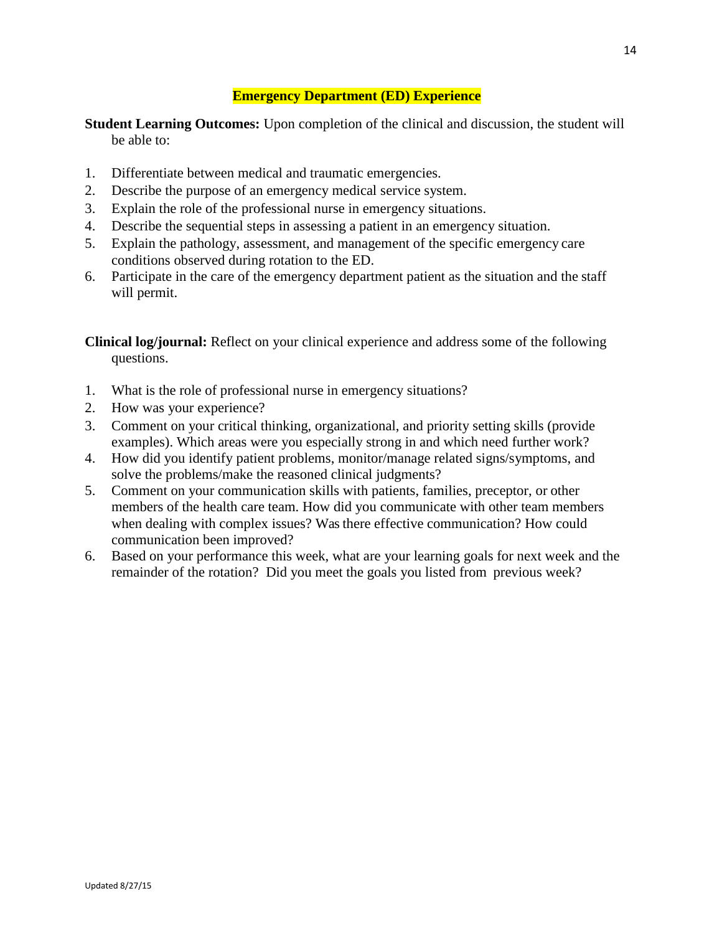## **Emergency Department (ED) Experience**

**Student Learning Outcomes:** Upon completion of the clinical and discussion, the student will be able to:

- 1. Differentiate between medical and traumatic emergencies.
- 2. Describe the purpose of an emergency medical service system.
- 3. Explain the role of the professional nurse in emergency situations.
- 4. Describe the sequential steps in assessing a patient in an emergency situation.
- 5. Explain the pathology, assessment, and management of the specific emergency care conditions observed during rotation to the ED.
- 6. Participate in the care of the emergency department patient as the situation and the staff will permit.

**Clinical log/journal:** Reflect on your clinical experience and address some of the following questions.

- 1. What is the role of professional nurse in emergency situations?
- 2. How was your experience?
- 3. Comment on your critical thinking, organizational, and priority setting skills (provide examples). Which areas were you especially strong in and which need further work?
- 4. How did you identify patient problems, monitor/manage related signs/symptoms, and solve the problems/make the reasoned clinical judgments?
- 5. Comment on your communication skills with patients, families, preceptor, or other members of the health care team. How did you communicate with other team members when dealing with complex issues? Was there effective communication? How could communication been improved?
- 6. Based on your performance this week, what are your learning goals for next week and the remainder of the rotation? Did you meet the goals you listed from previous week?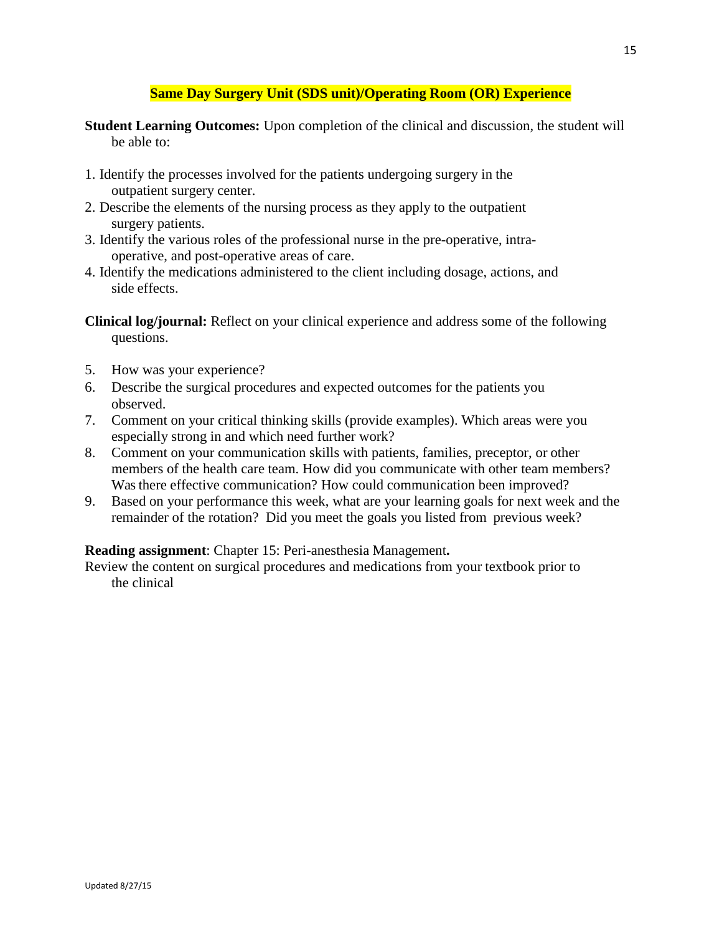### **Same Day Surgery Unit (SDS unit)/Operating Room (OR) Experience**

- **Student Learning Outcomes:** Upon completion of the clinical and discussion, the student will be able to:
- 1. Identify the processes involved for the patients undergoing surgery in the outpatient surgery center.
- 2. Describe the elements of the nursing process as they apply to the outpatient surgery patients.
- 3. Identify the various roles of the professional nurse in the pre-operative, intraoperative, and post-operative areas of care.
- 4. Identify the medications administered to the client including dosage, actions, and side effects.

**Clinical log/journal:** Reflect on your clinical experience and address some of the following questions.

- 5. How was your experience?
- 6. Describe the surgical procedures and expected outcomes for the patients you observed.
- 7. Comment on your critical thinking skills (provide examples). Which areas were you especially strong in and which need further work?
- 8. Comment on your communication skills with patients, families, preceptor, or other members of the health care team. How did you communicate with other team members? Was there effective communication? How could communication been improved?
- 9. Based on your performance this week, what are your learning goals for next week and the remainder of the rotation? Did you meet the goals you listed from previous week?

### **Reading assignment**: Chapter 15: Peri-anesthesia Management**.**

Review the content on surgical procedures and medications from your textbook prior to the clinical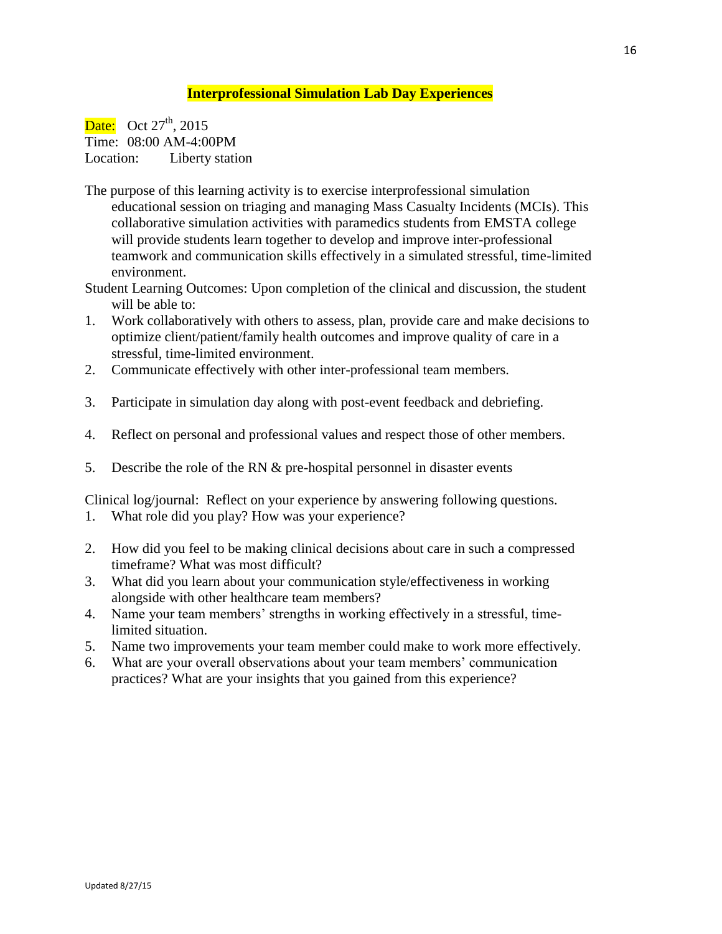#### **Interprofessional Simulation Lab Day Experiences**

Date: Oct  $27<sup>th</sup>$ , 2015 Time: 08:00 AM-4:00PM Location: Liberty station

- The purpose of this learning activity is to exercise interprofessional simulation educational session on triaging and managing Mass Casualty Incidents (MCIs). This collaborative simulation activities with paramedics students from EMSTA college will provide students learn together to develop and improve inter-professional teamwork and communication skills effectively in a simulated stressful, time-limited environment.
- Student Learning Outcomes: Upon completion of the clinical and discussion, the student will be able to:
- 1. Work collaboratively with others to assess, plan, provide care and make decisions to optimize client/patient/family health outcomes and improve quality of care in a stressful, time-limited environment.
- 2. Communicate effectively with other inter-professional team members.
- 3. Participate in simulation day along with post-event feedback and debriefing.
- 4. Reflect on personal and professional values and respect those of other members.
- 5. Describe the role of the RN & pre-hospital personnel in disaster events

Clinical log/journal: Reflect on your experience by answering following questions.

- 1. What role did you play? How was your experience?
- 2. How did you feel to be making clinical decisions about care in such a compressed timeframe? What was most difficult?
- 3. What did you learn about your communication style/effectiveness in working alongside with other healthcare team members?
- 4. Name your team members' strengths in working effectively in a stressful, timelimited situation.
- 5. Name two improvements your team member could make to work more effectively.
- 6. What are your overall observations about your team members' communication practices? What are your insights that you gained from this experience?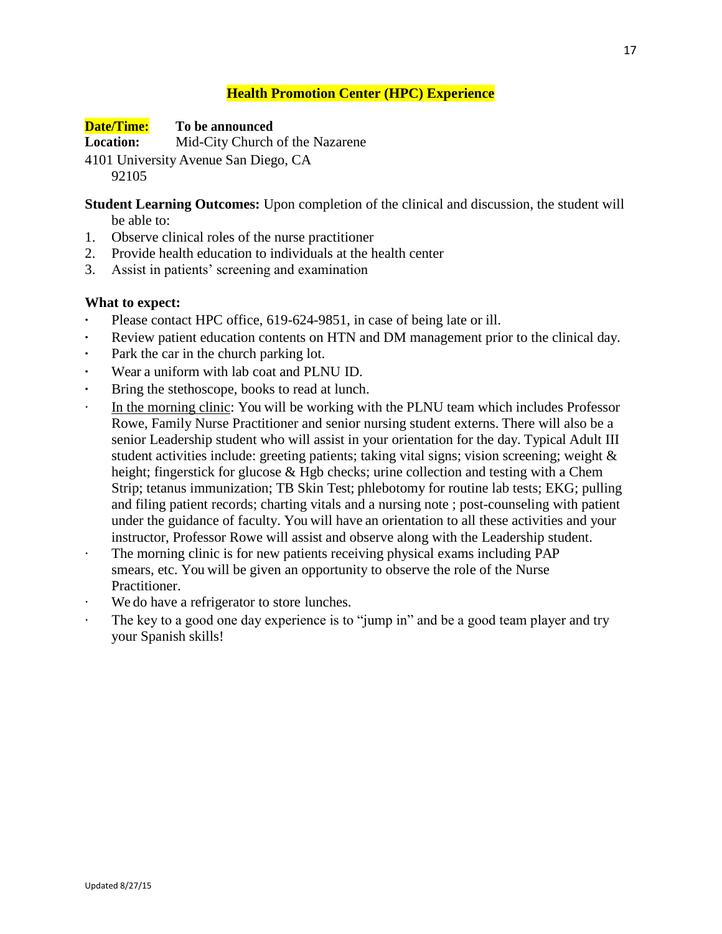## **Health Promotion Center (HPC) Experience**

**Date/Time: To be announced**

**Location:** Mid-City Church of the Nazarene

4101 University Avenue San Diego, CA

92105

**Student Learning Outcomes:** Upon completion of the clinical and discussion, the student will be able to:

- 1. Observe clinical roles of the nurse practitioner
- 2. Provide health education to individuals at the health center
- 3. Assist in patients' screening and examination

### **What to expect:**

- **·** Please contact HPC office, 619-624-9851, in case of being late or ill.
- Review patient education contents on HTN and DM management prior to the clinical day.
- Park the car in the church parking lot.
- **·** Wear a uniform with lab coat and PLNU ID.
- **·** Bring the stethoscope, books to read at lunch.
- In the morning clinic: You will be working with the PLNU team which includes Professor Rowe, Family Nurse Practitioner and senior nursing student externs. There will also be a senior Leadership student who will assist in your orientation for the day. Typical Adult III student activities include: greeting patients; taking vital signs; vision screening; weight & height; fingerstick for glucose & Hgb checks; urine collection and testing with a Chem Strip; tetanus immunization; TB Skin Test; phlebotomy for routine lab tests; EKG; pulling and filing patient records; charting vitals and a nursing note ; post-counseling with patient under the guidance of faculty. You will have an orientation to all these activities and your instructor, Professor Rowe will assist and observe along with the Leadership student.
- The morning clinic is for new patients receiving physical exams including PAP smears, etc. You will be given an opportunity to observe the role of the Nurse Practitioner.
- We do have a refrigerator to store lunches.
- · The key to a good one day experience is to "jump in" and be a good team player and try your Spanish skills!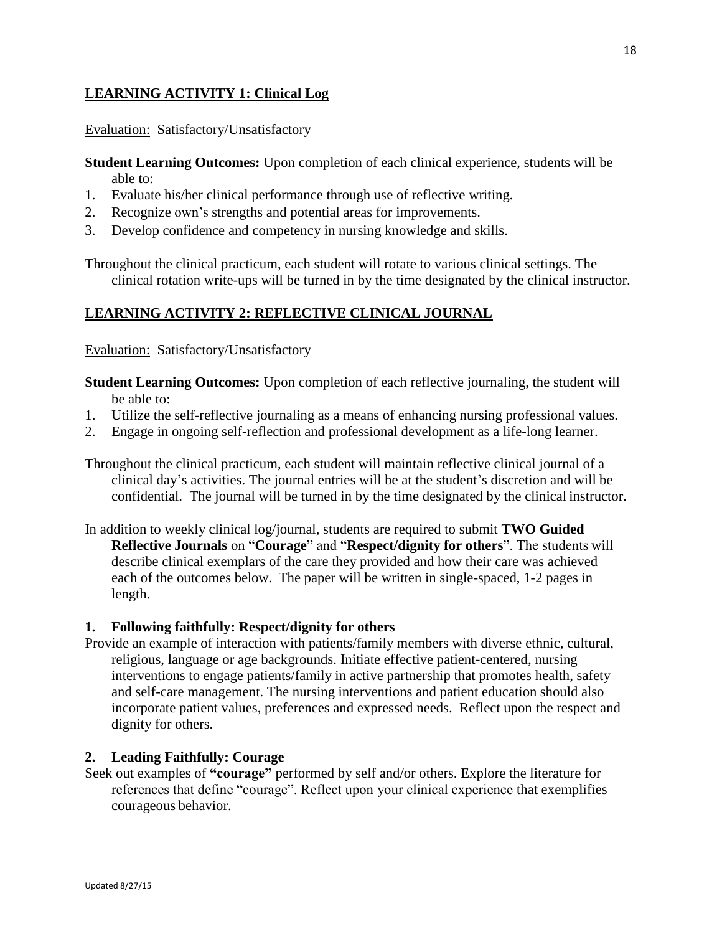## **LEARNING ACTIVITY 1: Clinical Log**

Evaluation: Satisfactory/Unsatisfactory

**Student Learning Outcomes:** Upon completion of each clinical experience, students will be able to:

- 1. Evaluate his/her clinical performance through use of reflective writing.
- 2. Recognize own's strengths and potential areas for improvements.
- 3. Develop confidence and competency in nursing knowledge and skills.

Throughout the clinical practicum, each student will rotate to various clinical settings. The clinical rotation write-ups will be turned in by the time designated by the clinical instructor.

## **LEARNING ACTIVITY 2: REFLECTIVE CLINICAL JOURNAL**

Evaluation: Satisfactory/Unsatisfactory

- **Student Learning Outcomes:** Upon completion of each reflective journaling, the student will be able to:
- 1. Utilize the self-reflective journaling as a means of enhancing nursing professional values.
- 2. Engage in ongoing self-reflection and professional development as a life-long learner.

Throughout the clinical practicum, each student will maintain reflective clinical journal of a clinical day's activities. The journal entries will be at the student's discretion and will be confidential. The journal will be turned in by the time designated by the clinical instructor.

In addition to weekly clinical log/journal, students are required to submit **TWO Guided Reflective Journals** on "**Courage**" and "**Respect/dignity for others**". The students will describe clinical exemplars of the care they provided and how their care was achieved each of the outcomes below. The paper will be written in single-spaced, 1-2 pages in length.

### **1. Following faithfully: Respect/dignity for others**

Provide an example of interaction with patients/family members with diverse ethnic, cultural, religious, language or age backgrounds. Initiate effective patient-centered, nursing interventions to engage patients/family in active partnership that promotes health, safety and self-care management. The nursing interventions and patient education should also incorporate patient values, preferences and expressed needs. Reflect upon the respect and dignity for others.

### **2. Leading Faithfully: Courage**

Seek out examples of **"courage"** performed by self and/or others. Explore the literature for references that define "courage". Reflect upon your clinical experience that exemplifies courageous behavior.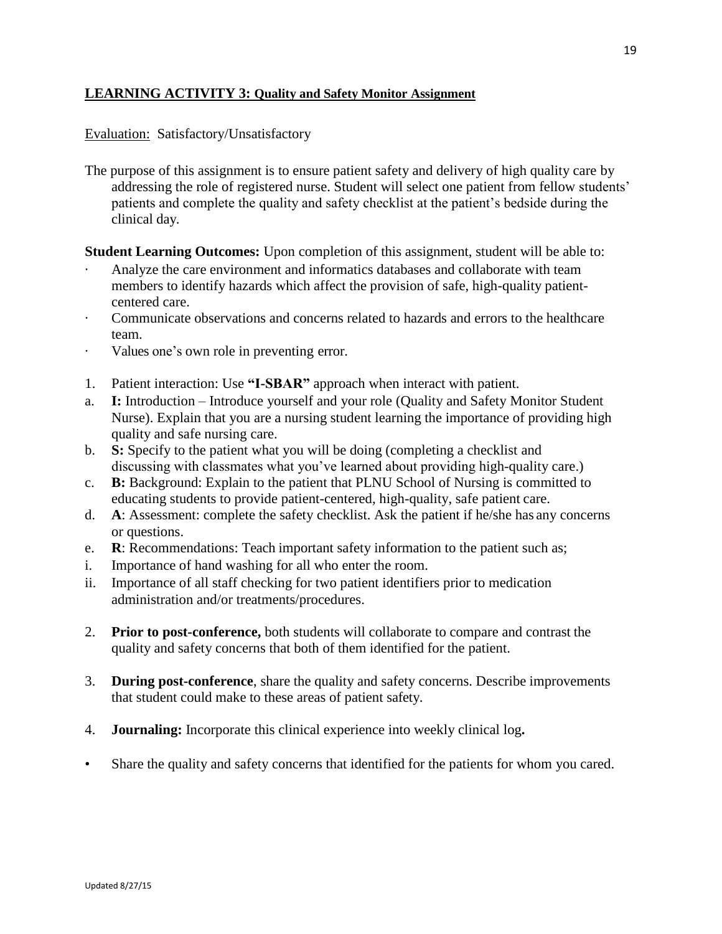## **LEARNING ACTIVITY 3: Quality and Safety Monitor Assignment**

#### Evaluation: Satisfactory/Unsatisfactory

The purpose of this assignment is to ensure patient safety and delivery of high quality care by addressing the role of registered nurse. Student will select one patient from fellow students' patients and complete the quality and safety checklist at the patient's bedside during the clinical day.

**Student Learning Outcomes:** Upon completion of this assignment, student will be able to:

- Analyze the care environment and informatics databases and collaborate with team members to identify hazards which affect the provision of safe, high-quality patientcentered care.
- · Communicate observations and concerns related to hazards and errors to the healthcare team.
- · Values one's own role in preventing error.
- 1. Patient interaction: Use **"I-SBAR"** approach when interact with patient.
- a. **I:** Introduction Introduce yourself and your role (Quality and Safety Monitor Student Nurse). Explain that you are a nursing student learning the importance of providing high quality and safe nursing care.
- b. **S:** Specify to the patient what you will be doing (completing a checklist and discussing with classmates what you've learned about providing high-quality care.)
- c. **B:** Background: Explain to the patient that PLNU School of Nursing is committed to educating students to provide patient-centered, high-quality, safe patient care.
- d. **A**: Assessment: complete the safety checklist. Ask the patient if he/she has any concerns or questions.
- e. **R**: Recommendations: Teach important safety information to the patient such as;
- i. Importance of hand washing for all who enter the room.
- ii. Importance of all staff checking for two patient identifiers prior to medication administration and/or treatments/procedures.
- 2. **Prior to post-conference,** both students will collaborate to compare and contrast the quality and safety concerns that both of them identified for the patient.
- 3. **During post-conference**, share the quality and safety concerns. Describe improvements that student could make to these areas of patient safety.
- 4. **Journaling:** Incorporate this clinical experience into weekly clinical log**.**
- Share the quality and safety concerns that identified for the patients for whom you cared.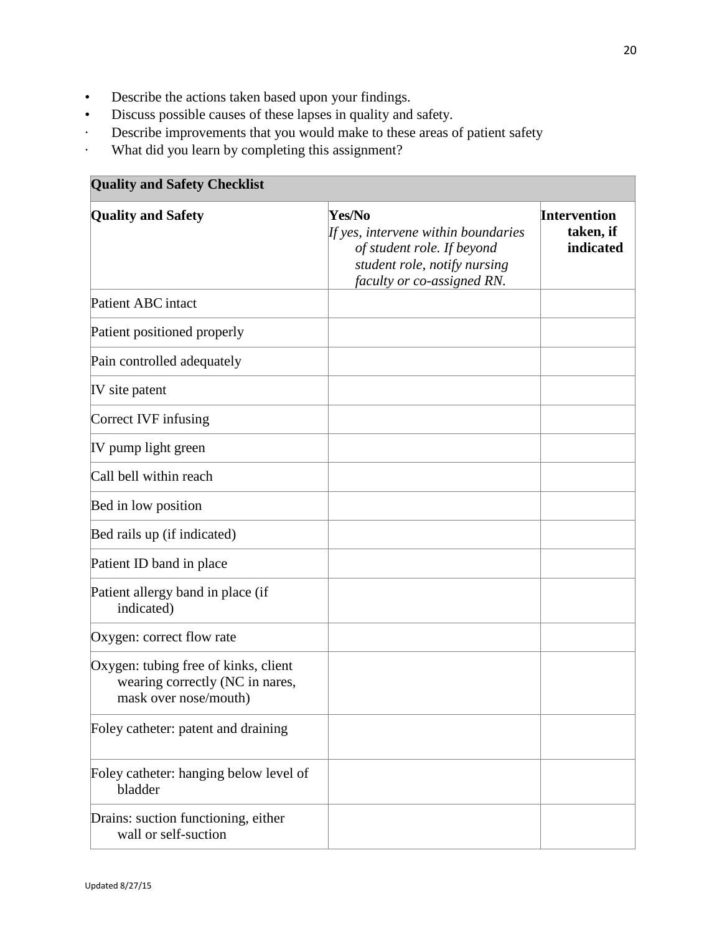- Describe the actions taken based upon your findings.
- Discuss possible causes of these lapses in quality and safety.
- · Describe improvements that you would make to these areas of patient safety
- · What did you learn by completing this assignment?

| <b>Quality and Safety Checklist</b>                                                              |                                                                                                                                           |                                               |  |  |
|--------------------------------------------------------------------------------------------------|-------------------------------------------------------------------------------------------------------------------------------------------|-----------------------------------------------|--|--|
| <b>Quality and Safety</b>                                                                        | Yes/No<br>If yes, intervene within boundaries<br>of student role. If beyond<br>student role, notify nursing<br>faculty or co-assigned RN. | <b>Intervention</b><br>taken, if<br>indicated |  |  |
| Patient ABC intact                                                                               |                                                                                                                                           |                                               |  |  |
| Patient positioned properly                                                                      |                                                                                                                                           |                                               |  |  |
| Pain controlled adequately                                                                       |                                                                                                                                           |                                               |  |  |
| IV site patent                                                                                   |                                                                                                                                           |                                               |  |  |
| Correct IVF infusing                                                                             |                                                                                                                                           |                                               |  |  |
| IV pump light green                                                                              |                                                                                                                                           |                                               |  |  |
| Call bell within reach                                                                           |                                                                                                                                           |                                               |  |  |
| Bed in low position                                                                              |                                                                                                                                           |                                               |  |  |
| Bed rails up (if indicated)                                                                      |                                                                                                                                           |                                               |  |  |
| Patient ID band in place                                                                         |                                                                                                                                           |                                               |  |  |
| Patient allergy band in place (if<br>indicated)                                                  |                                                                                                                                           |                                               |  |  |
| Oxygen: correct flow rate                                                                        |                                                                                                                                           |                                               |  |  |
| Oxygen: tubing free of kinks, client<br>wearing correctly (NC in nares,<br>mask over nose/mouth) |                                                                                                                                           |                                               |  |  |
| Foley catheter: patent and draining                                                              |                                                                                                                                           |                                               |  |  |
| Foley catheter: hanging below level of<br>bladder                                                |                                                                                                                                           |                                               |  |  |
| Drains: suction functioning, either<br>wall or self-suction                                      |                                                                                                                                           |                                               |  |  |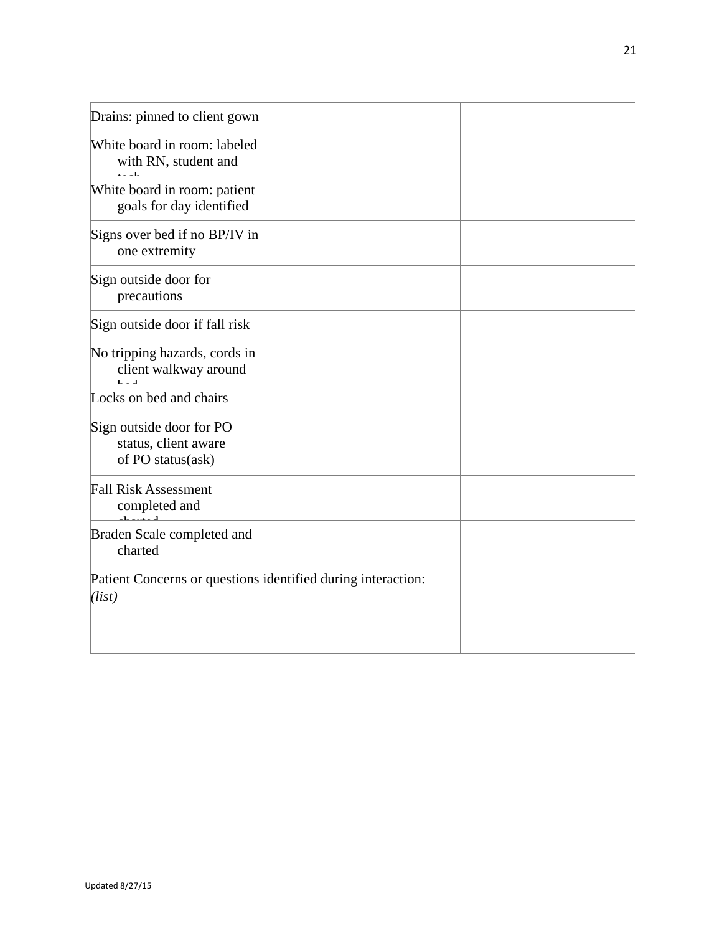| Drains: pinned to client gown                                          |  |
|------------------------------------------------------------------------|--|
| White board in room: labeled<br>with RN, student and                   |  |
| White board in room: patient<br>goals for day identified               |  |
| Signs over bed if no BP/IV in<br>one extremity                         |  |
| Sign outside door for<br>precautions                                   |  |
| Sign outside door if fall risk                                         |  |
| No tripping hazards, cords in<br>client walkway around                 |  |
| Locks on bed and chairs                                                |  |
| Sign outside door for PO<br>status, client aware<br>of PO status(ask)  |  |
| <b>Fall Risk Assessment</b><br>completed and                           |  |
| Braden Scale completed and<br>charted                                  |  |
| Patient Concerns or questions identified during interaction:<br>(list) |  |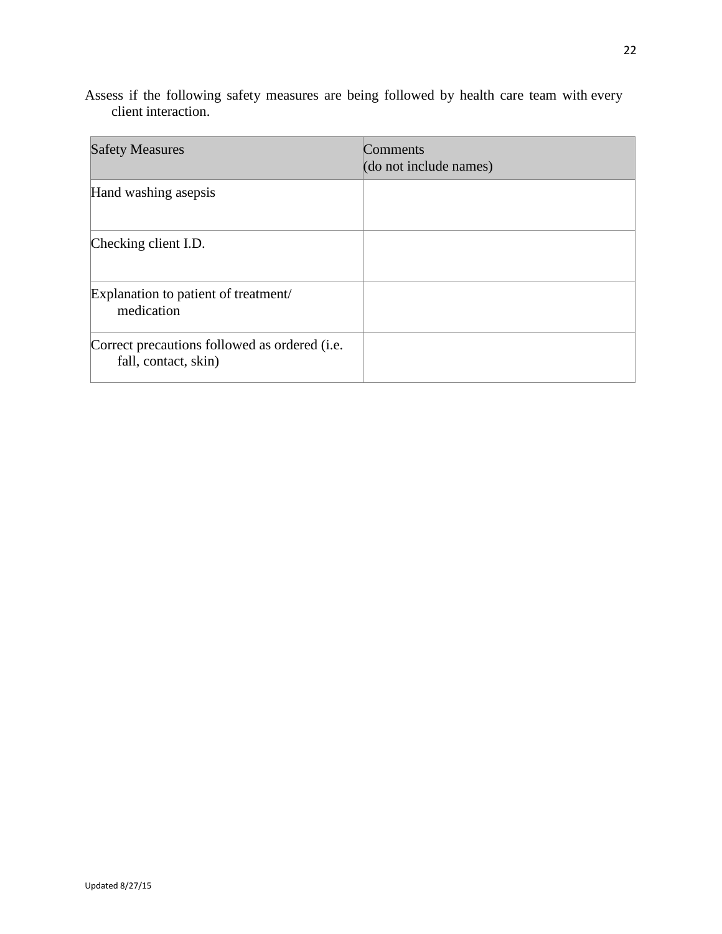| <b>Safety Measures</b>                                                          | Comments<br>(do not include names) |
|---------------------------------------------------------------------------------|------------------------------------|
| Hand washing asepsis                                                            |                                    |
| Checking client I.D.                                                            |                                    |
| Explanation to patient of treatment/<br>medication                              |                                    |
| Correct precautions followed as ordered ( <i>i.e.</i> )<br>fall, contact, skin) |                                    |

Assess if the following safety measures are being followed by health care team with every client interaction.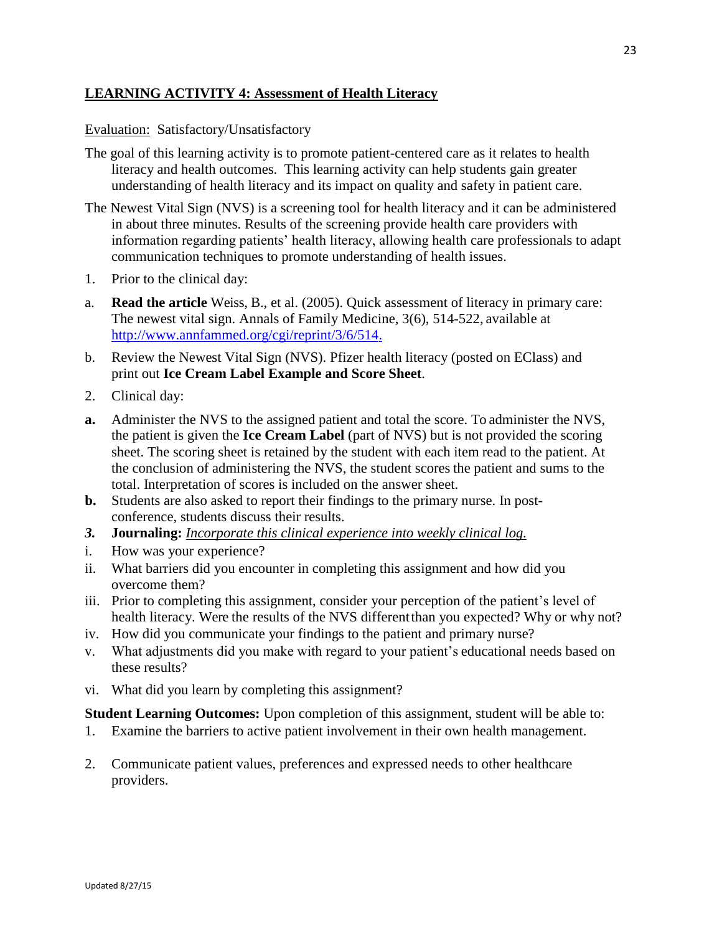## **LEARNING ACTIVITY 4: Assessment of Health Literacy**

### Evaluation: Satisfactory/Unsatisfactory

- The goal of this learning activity is to promote patient-centered care as it relates to health literacy and health outcomes. This learning activity can help students gain greater understanding of health literacy and its impact on quality and safety in patient care.
- The Newest Vital Sign (NVS) is a screening tool for health literacy and it can be administered in about three minutes. Results of the screening provide health care providers with information regarding patients' health literacy, allowing health care professionals to adapt communication techniques to promote understanding of health issues.
- 1. Prior to the clinical day:
- a. **Read the article** Weiss, B., et al. (2005). Quick assessment of literacy in primary care: The newest vital sign. Annals of Family Medicine, 3(6), 514-522, available at <http://www.annfammed.org/cgi/reprint/3/6/514.>
- b. Review the Newest Vital Sign (NVS). Pfizer health literacy (posted on EClass) and print out **Ice Cream Label Example and Score Sheet**.
- 2. Clinical day:
- **a.** Administer the NVS to the assigned patient and total the score. To administer the NVS, the patient is given the **Ice Cream Label** (part of NVS) but is not provided the scoring sheet. The scoring sheet is retained by the student with each item read to the patient. At the conclusion of administering the NVS, the student scores the patient and sums to the total. Interpretation of scores is included on the answer sheet.
- **b.** Students are also asked to report their findings to the primary nurse. In postconference, students discuss their results.
- *3.* **Journaling:** *Incorporate this clinical experience into weekly clinical log.*
- i. How was your experience?
- ii. What barriers did you encounter in completing this assignment and how did you overcome them?
- iii. Prior to completing this assignment, consider your perception of the patient's level of health literacy. Were the results of the NVS different than you expected? Why or why not?
- iv. How did you communicate your findings to the patient and primary nurse?
- v. What adjustments did you make with regard to your patient's educational needs based on these results?
- vi. What did you learn by completing this assignment?

**Student Learning Outcomes:** Upon completion of this assignment, student will be able to:

- 1. Examine the barriers to active patient involvement in their own health management.
- 2. Communicate patient values, preferences and expressed needs to other healthcare providers.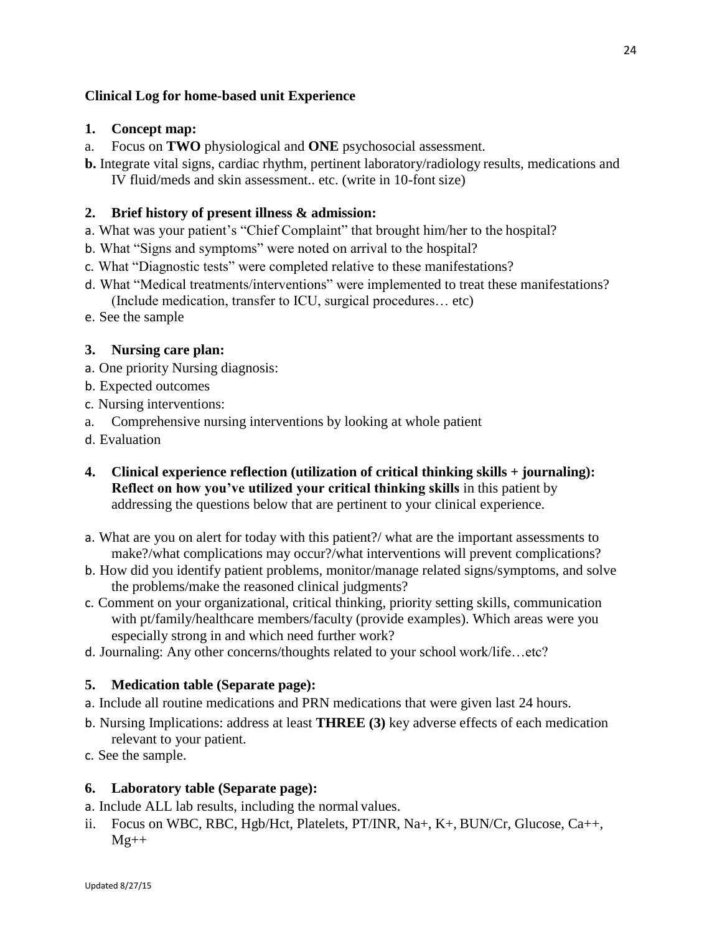## **Clinical Log for home-based unit Experience**

### **1. Concept map:**

- a. Focus on **TWO** physiological and **ONE** psychosocial assessment.
- **b.** Integrate vital signs, cardiac rhythm, pertinent laboratory/radiology results, medications and IV fluid/meds and skin assessment.. etc. (write in 10-font size)

### **2. Brief history of present illness & admission:**

- a. What was your patient's "Chief Complaint" that brought him/her to the hospital?
- b. What "Signs and symptoms" were noted on arrival to the hospital?
- c. What "Diagnostic tests" were completed relative to these manifestations?
- d. What "Medical treatments/interventions" were implemented to treat these manifestations? (Include medication, transfer to ICU, surgical procedures… etc)
- e. See the sample

#### **3. Nursing care plan:**

- a. One priority Nursing diagnosis:
- b. Expected outcomes
- c. Nursing interventions:
- a. Comprehensive nursing interventions by looking at whole patient
- d. Evaluation
- **4. Clinical experience reflection (utilization of critical thinking skills + journaling): Reflect on how you've utilized your critical thinking skills** in this patient by addressing the questions below that are pertinent to your clinical experience.
- a. What are you on alert for today with this patient?/ what are the important assessments to make?/what complications may occur?/what interventions will prevent complications?
- b. How did you identify patient problems, monitor/manage related signs/symptoms, and solve the problems/make the reasoned clinical judgments?
- c. Comment on your organizational, critical thinking, priority setting skills, communication with pt/family/healthcare members/faculty (provide examples). Which areas were you especially strong in and which need further work?
- d. Journaling: Any other concerns/thoughts related to your school work/life…etc?

#### **5. Medication table (Separate page):**

- a. Include all routine medications and PRN medications that were given last 24 hours.
- b. Nursing Implications: address at least **THREE (3)** key adverse effects of each medication relevant to your patient.
- c. See the sample.

#### **6. Laboratory table (Separate page):**

a. Include ALL lab results, including the normal values.

ii. Focus on WBC, RBC, Hgb/Hct, Platelets, PT/INR, Na+, K+, BUN/Cr, Glucose, Ca++,  $Mg++$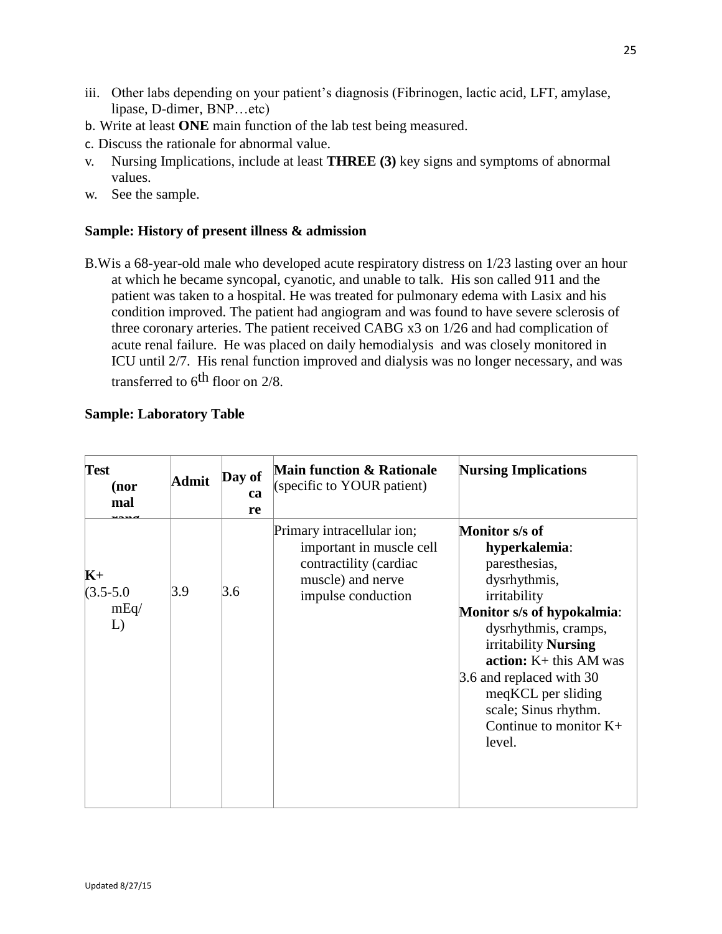- iii. Other labs depending on your patient's diagnosis (Fibrinogen, lactic acid, LFT, amylase, lipase, D-dimer, BNP…etc)
- b. Write at least **ONE** main function of the lab test being measured.
- c. Discuss the rationale for abnormal value.
- v. Nursing Implications, include at least **THREE (3)** key signs and symptoms of abnormal values.
- w. See the sample.

#### **Sample: History of present illness & admission**

B.Wis a 68-year-old male who developed acute respiratory distress on 1/23 lasting over an hour at which he became syncopal, cyanotic, and unable to talk. His son called 911 and the patient was taken to a hospital. He was treated for pulmonary edema with Lasix and his condition improved. The patient had angiogram and was found to have severe sclerosis of three coronary arteries. The patient received CABG x3 on 1/26 and had complication of acute renal failure. He was placed on daily hemodialysis and was closely monitored in ICU until 2/7. His renal function improved and dialysis was no longer necessary, and was transferred to  $6<sup>th</sup>$  floor on 2/8.

### **Sample: Laboratory Table**

| <b>Test</b><br>(nor<br>mal          | Admit | Day of<br>ca<br>re | <b>Main function &amp; Rationale</b><br>(specific to YOUR patient)                                                          | <b>Nursing Implications</b>                                                                                                                                                                                                                                                                                |
|-------------------------------------|-------|--------------------|-----------------------------------------------------------------------------------------------------------------------------|------------------------------------------------------------------------------------------------------------------------------------------------------------------------------------------------------------------------------------------------------------------------------------------------------------|
| $K+$<br>$(3.5 - 5.0)$<br>mEq/<br>L) | 3.9   | 3.6                | Primary intracellular ion;<br>important in muscle cell<br>contractility (cardiac<br>muscle) and nerve<br>impulse conduction | Monitor s/s of<br>hyperkalemia:<br>paresthesias,<br>dysrhythmis,<br>irritability<br>Monitor s/s of hypokalmia:<br>dysrhythmis, cramps,<br>irritability Nursing<br>$action: K+ this AM was$<br>3.6 and replaced with 30<br>meqKCL per sliding<br>scale; Sinus rhythm.<br>Continue to monitor $K+$<br>level. |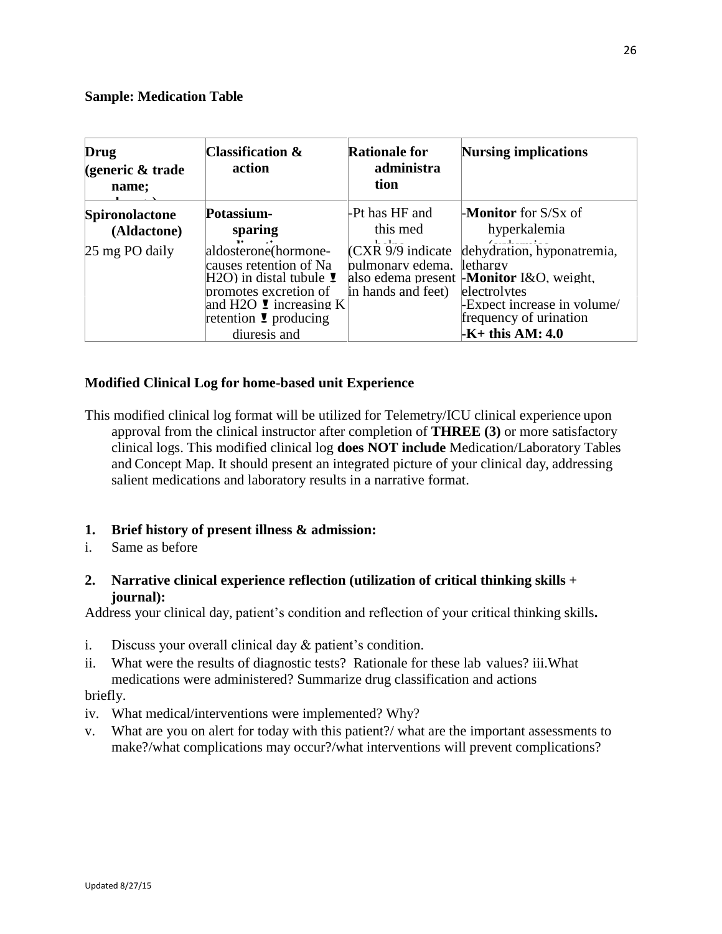### **Sample: Medication Table**

| Drug<br>(generic & trade)<br>name; | <b>Classification <math>\&amp;</math></b><br>action                                                                                                                                               | <b>Rationale for</b><br>administra<br>tion                    | Nursing implications                                                                                                                                                                     |
|------------------------------------|---------------------------------------------------------------------------------------------------------------------------------------------------------------------------------------------------|---------------------------------------------------------------|------------------------------------------------------------------------------------------------------------------------------------------------------------------------------------------|
| Spironolactone<br>(Aldactone)      | Potassium-<br>sparing                                                                                                                                                                             | -Pt has HF and<br>this med                                    | <b>-Monitor</b> for $S/Sx$ of<br>hyperkalemia                                                                                                                                            |
| $ 25 \text{ mg PO}$ daily          | aldosterone(hormone-<br>causes retention of Na<br>$H2O$ ) in distal tubule $\ddagger$<br>promotes excretion of<br>and H2O $\bullet$ increasing K<br>retention $\bullet$ producing<br>diuresis and | $CCXR 9/9$ indicate<br>pulmonary edema.<br>in hands and feet) | dehydration, hyponatremia,<br>llethargy<br>also edema present <b>Monitor</b> I&O, weight,<br>electrolytes<br>-Expect increase in volume/<br>frequency of urination<br>$-K+$ this AM: 4.0 |

### **Modified Clinical Log for home-based unit Experience**

This modified clinical log format will be utilized for Telemetry/ICU clinical experience upon approval from the clinical instructor after completion of **THREE (3)** or more satisfactory clinical logs. This modified clinical log **does NOT include** Medication/Laboratory Tables and Concept Map. It should present an integrated picture of your clinical day, addressing salient medications and laboratory results in a narrative format.

### **1. Brief history of present illness & admission:**

- i. Same as before
- **2. Narrative clinical experience reflection (utilization of critical thinking skills + journal):**

Address your clinical day, patient's condition and reflection of your critical thinking skills**.**

- i. Discuss your overall clinical day & patient's condition.
- ii. What were the results of diagnostic tests? Rationale for these lab values? iii.What medications were administered? Summarize drug classification and actions

### briefly.

- iv. What medical/interventions were implemented? Why?
- v. What are you on alert for today with this patient?/ what are the important assessments to make?/what complications may occur?/what interventions will prevent complications?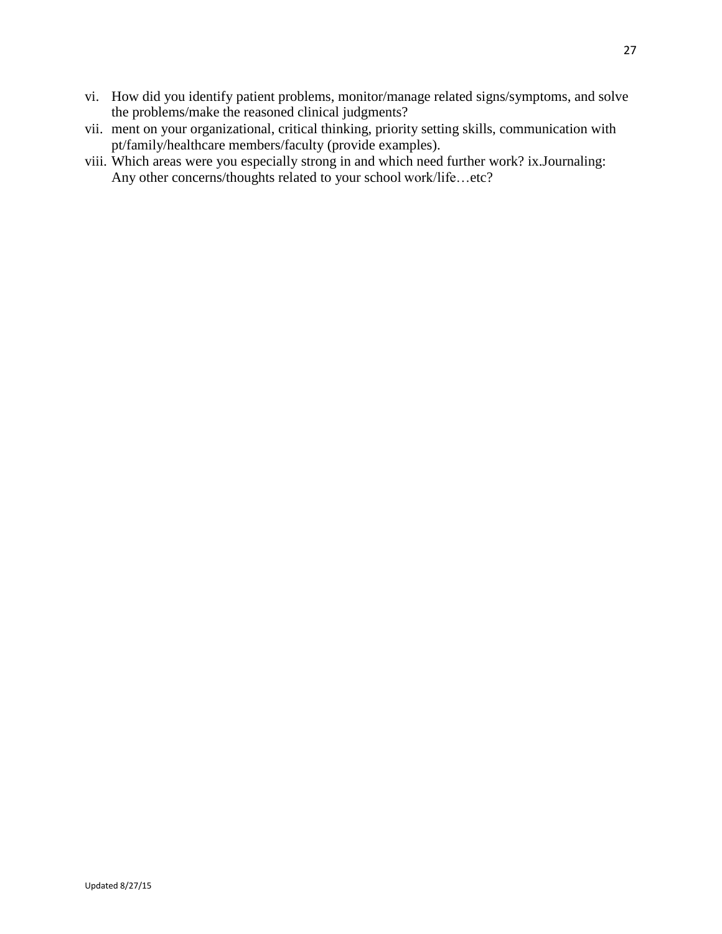- vi. How did you identify patient problems, monitor/manage related signs/symptoms, and solve the problems/make the reasoned clinical judgments?
- vii. ment on your organizational, critical thinking, priority setting skills, communication with pt/family/healthcare members/faculty (provide examples).
- viii. Which areas were you especially strong in and which need further work? ix.Journaling: Any other concerns/thoughts related to your school work/life…etc?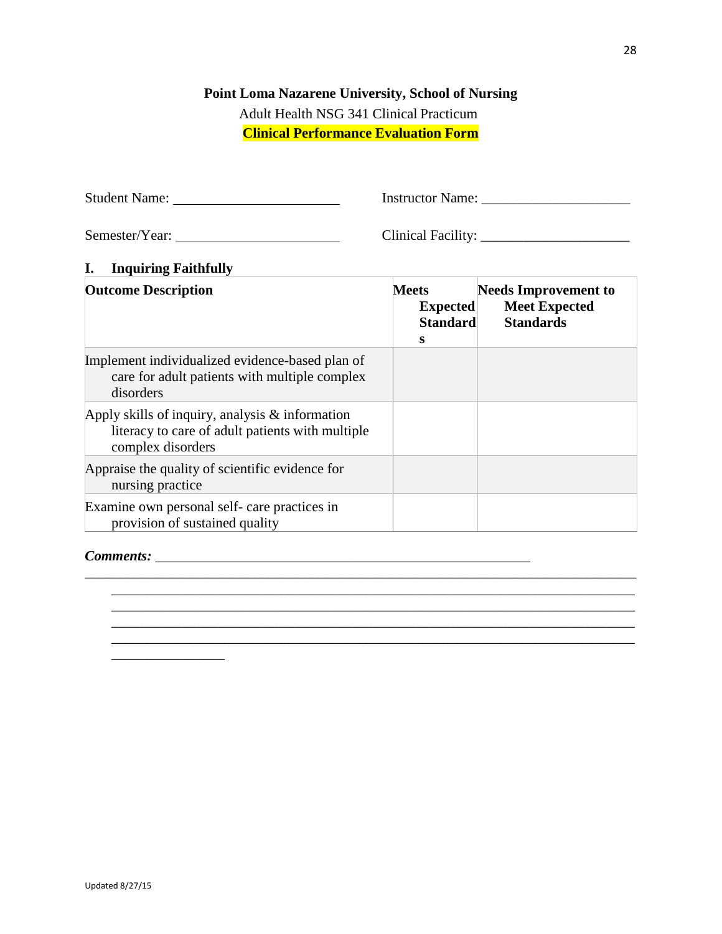## **Point Loma Nazarene University, School of Nursing**

Adult Health NSG 341 Clinical Practicum **Clinical Performance Evaluation Form**

Semester/Year: Clinical Facility: \_\_\_\_\_\_\_\_\_\_\_\_\_\_\_\_\_\_\_\_\_

Student Name: Instructor Name: \_\_\_\_\_\_\_\_\_\_\_\_\_\_\_\_\_\_\_\_\_

\_\_\_\_\_\_\_\_\_\_\_\_\_\_\_\_\_\_\_\_\_\_\_\_\_\_\_\_\_\_\_\_\_\_\_\_\_\_\_\_\_\_\_\_\_\_\_\_\_\_\_\_\_\_\_\_\_\_\_\_\_\_\_\_\_\_\_\_\_\_\_\_\_\_

## **I. Inquiring Faithfully**

| <b>Outcome Description</b>                                                                                                 | <b>Meets</b><br><b>Expected</b><br><b>Standard</b><br>s | <b>Needs Improvement to</b><br><b>Meet Expected</b><br><b>Standards</b> |
|----------------------------------------------------------------------------------------------------------------------------|---------------------------------------------------------|-------------------------------------------------------------------------|
| Implement individualized evidence-based plan of<br>care for adult patients with multiple complex<br>disorders              |                                                         |                                                                         |
| Apply skills of inquiry, analysis $&$ information<br>literacy to care of adult patients with multiple<br>complex disorders |                                                         |                                                                         |
| Appraise the quality of scientific evidence for<br>nursing practice                                                        |                                                         |                                                                         |
| Examine own personal self- care practices in<br>provision of sustained quality                                             |                                                         |                                                                         |

\_\_\_\_\_\_\_\_\_\_\_\_\_\_\_\_\_\_\_\_\_\_\_\_\_\_\_\_\_\_\_\_\_\_\_\_\_\_\_\_\_\_\_\_\_\_\_\_\_\_\_\_\_\_\_\_\_\_\_\_\_\_\_\_\_\_\_\_\_\_\_\_\_\_\_\_\_\_

\_\_\_\_\_\_\_\_\_\_\_\_\_\_\_\_\_\_\_\_\_\_\_\_\_\_\_\_\_\_\_\_\_\_\_\_\_\_\_\_\_\_\_\_\_\_\_\_\_\_\_\_\_\_\_\_\_\_\_\_\_\_\_\_\_\_\_\_\_\_\_\_\_\_

\_\_\_\_\_\_\_\_\_\_\_\_\_\_\_\_\_\_\_\_\_\_\_\_\_\_\_\_\_\_\_\_\_\_\_\_\_\_\_\_\_\_\_\_\_\_\_\_\_\_\_\_\_\_\_\_\_\_\_\_\_\_\_\_\_\_\_\_\_\_\_\_\_\_

#### *Comments:* \_\_\_\_\_\_\_\_\_\_\_\_\_\_\_\_\_\_\_\_\_\_\_\_\_\_\_\_\_\_\_\_\_\_\_\_\_\_\_\_\_\_\_\_\_\_\_\_\_\_\_\_\_

\_\_\_\_\_\_\_\_\_\_\_\_\_\_\_\_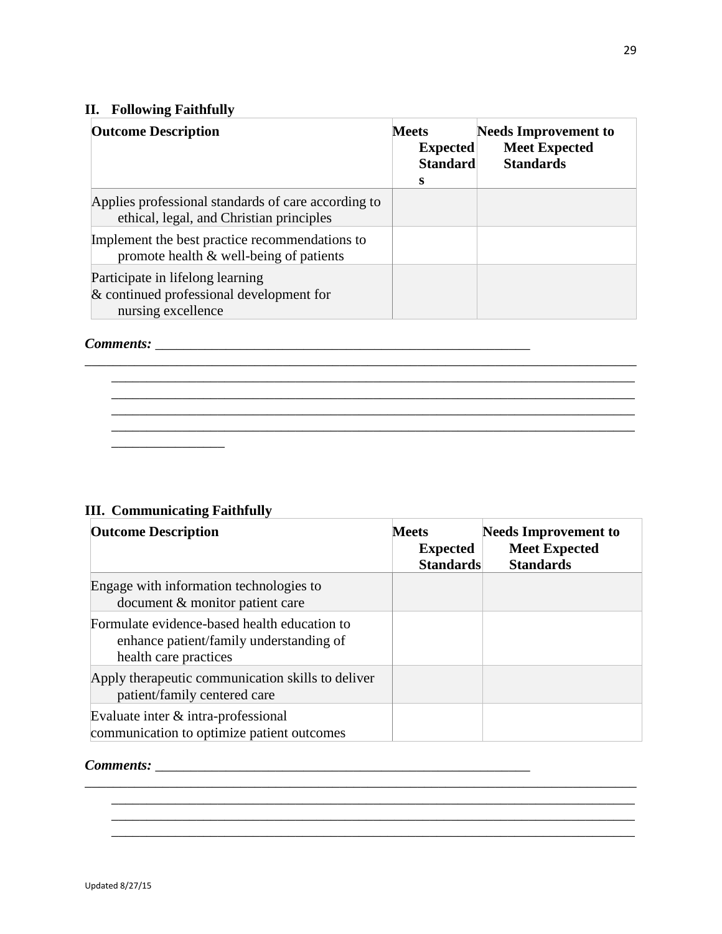## **II. Following Faithfully**

| <b>II.</b> Following Faithfully                                                                    |                                                         |                                                                         |
|----------------------------------------------------------------------------------------------------|---------------------------------------------------------|-------------------------------------------------------------------------|
| <b>Outcome Description</b>                                                                         | <b>Meets</b><br><b>Expected</b><br><b>Standard</b><br>s | <b>Needs Improvement to</b><br><b>Meet Expected</b><br><b>Standards</b> |
| Applies professional standards of care according to<br>ethical, legal, and Christian principles    |                                                         |                                                                         |
| Implement the best practice recommendations to<br>promote health $\&$ well-being of patients       |                                                         |                                                                         |
| Participate in lifelong learning<br>& continued professional development for<br>nursing excellence |                                                         |                                                                         |

\_\_\_\_\_\_\_\_\_\_\_\_\_\_\_\_\_\_\_\_\_\_\_\_\_\_\_\_\_\_\_\_\_\_\_\_\_\_\_\_\_\_\_\_\_\_\_\_\_\_\_\_\_\_\_\_\_\_\_\_\_\_\_\_\_\_\_\_\_\_\_\_\_\_ \_\_\_\_\_\_\_\_\_\_\_\_\_\_\_\_\_\_\_\_\_\_\_\_\_\_\_\_\_\_\_\_\_\_\_\_\_\_\_\_\_\_\_\_\_\_\_\_\_\_\_\_\_\_\_\_\_\_\_\_\_\_\_\_\_\_\_\_\_\_\_\_\_\_ \_\_\_\_\_\_\_\_\_\_\_\_\_\_\_\_\_\_\_\_\_\_\_\_\_\_\_\_\_\_\_\_\_\_\_\_\_\_\_\_\_\_\_\_\_\_\_\_\_\_\_\_\_\_\_\_\_\_\_\_\_\_\_\_\_\_\_\_\_\_\_\_\_\_  $\mathcal{L}_\mathcal{L} = \{ \mathcal{L}_\mathcal{L} = \{ \mathcal{L}_\mathcal{L} = \{ \mathcal{L}_\mathcal{L} = \{ \mathcal{L}_\mathcal{L} = \{ \mathcal{L}_\mathcal{L} = \{ \mathcal{L}_\mathcal{L} = \{ \mathcal{L}_\mathcal{L} = \{ \mathcal{L}_\mathcal{L} = \{ \mathcal{L}_\mathcal{L} = \{ \mathcal{L}_\mathcal{L} = \{ \mathcal{L}_\mathcal{L} = \{ \mathcal{L}_\mathcal{L} = \{ \mathcal{L}_\mathcal{L} = \{ \mathcal{L}_\mathcal{$ 

*Comments:* \_\_\_\_\_\_\_\_\_\_\_\_\_\_\_\_\_\_\_\_\_\_\_\_\_\_\_\_\_\_\_\_\_\_\_\_\_\_\_\_\_\_\_\_\_\_\_\_\_\_\_\_\_

## **III. Communicating Faithfully**

 $\mathcal{L}=\mathcal{L}$ 

| <b>Outcome Description</b>                                                                                       | <b>Meets</b><br><b>Expected</b><br><b>Standards</b> | <b>Needs Improvement to</b><br><b>Meet Expected</b><br><b>Standards</b> |
|------------------------------------------------------------------------------------------------------------------|-----------------------------------------------------|-------------------------------------------------------------------------|
| Engage with information technologies to<br>document & monitor patient care                                       |                                                     |                                                                         |
| Formulate evidence-based health education to<br>enhance patient/family understanding of<br>health care practices |                                                     |                                                                         |
| Apply therapeutic communication skills to deliver<br>patient/family centered care                                |                                                     |                                                                         |
| Evaluate inter & intra-professional<br>communication to optimize patient outcomes                                |                                                     |                                                                         |

\_\_\_\_\_\_\_\_\_\_\_\_\_\_\_\_\_\_\_\_\_\_\_\_\_\_\_\_\_\_\_\_\_\_\_\_\_\_\_\_\_\_\_\_\_\_\_\_\_\_\_\_\_\_\_\_\_\_\_\_\_\_\_\_\_\_\_\_\_\_\_\_\_\_ \_\_\_\_\_\_\_\_\_\_\_\_\_\_\_\_\_\_\_\_\_\_\_\_\_\_\_\_\_\_\_\_\_\_\_\_\_\_\_\_\_\_\_\_\_\_\_\_\_\_\_\_\_\_\_\_\_\_\_\_\_\_\_\_\_\_\_\_\_\_\_\_\_\_ \_\_\_\_\_\_\_\_\_\_\_\_\_\_\_\_\_\_\_\_\_\_\_\_\_\_\_\_\_\_\_\_\_\_\_\_\_\_\_\_\_\_\_\_\_\_\_\_\_\_\_\_\_\_\_\_\_\_\_\_\_\_\_\_\_\_\_\_\_\_\_\_\_\_

#### *Comments:* \_\_\_\_\_\_\_\_\_\_\_\_\_\_\_\_\_\_\_\_\_\_\_\_\_\_\_\_\_\_\_\_\_\_\_\_\_\_\_\_\_\_\_\_\_\_\_\_\_\_\_\_\_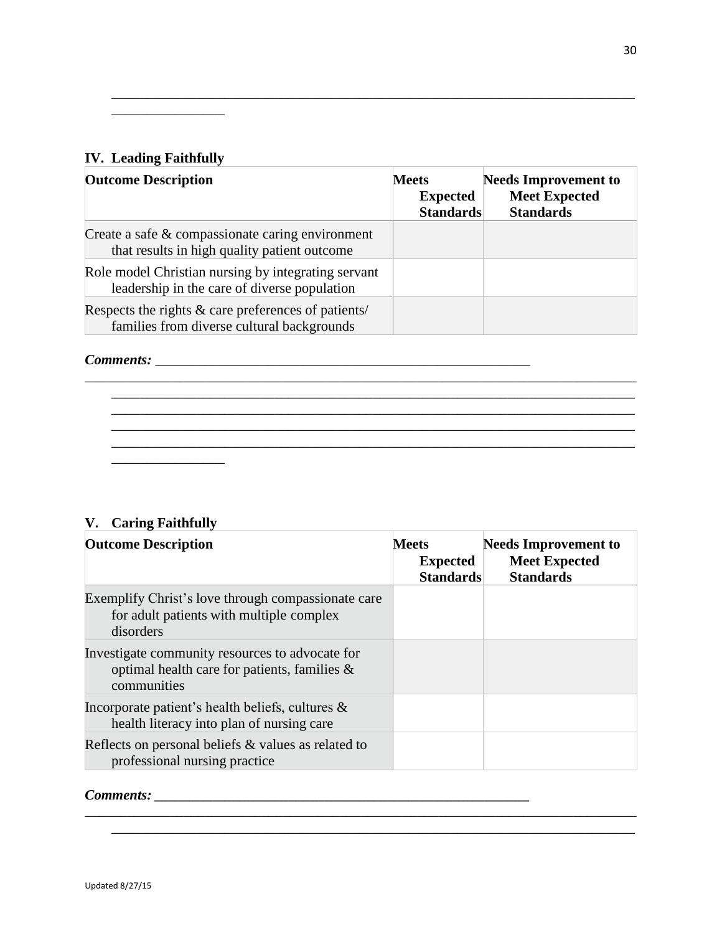## **IV. Leading Faithfully**

 $\mathcal{L}=\mathcal{L}=\mathcal{L}=\mathcal{L}=\mathcal{L}$ 

| <b>IV.</b> Leading Faithfully                                                                       |                                                     |                                                                         |
|-----------------------------------------------------------------------------------------------------|-----------------------------------------------------|-------------------------------------------------------------------------|
| <b>Outcome Description</b>                                                                          | <b>Meets</b><br><b>Expected</b><br><b>Standards</b> | <b>Needs Improvement to</b><br><b>Meet Expected</b><br><b>Standards</b> |
| Create a safe & compassionate caring environment<br>that results in high quality patient outcome    |                                                     |                                                                         |
| Role model Christian nursing by integrating servant<br>leadership in the care of diverse population |                                                     |                                                                         |
| Respects the rights & care preferences of patients/<br>families from diverse cultural backgrounds   |                                                     |                                                                         |

\_\_\_\_\_\_\_\_\_\_\_\_\_\_\_\_\_\_\_\_\_\_\_\_\_\_\_\_\_\_\_\_\_\_\_\_\_\_\_\_\_\_\_\_\_\_\_\_\_\_\_\_\_\_\_\_\_\_\_\_\_\_\_\_\_\_\_\_\_\_\_\_\_\_

### *Comments:* \_\_\_\_\_\_\_\_\_\_\_\_\_\_\_\_\_\_\_\_\_\_\_\_\_\_\_\_\_\_\_\_\_\_\_\_\_\_\_\_\_\_\_\_\_\_\_\_\_\_\_\_\_



## **V. Caring Faithfully**

| <b>Outcome Description</b>                                                                                        | <b>Meets</b><br><b>Expected</b><br><b>Standards</b> | <b>Needs Improvement to</b><br><b>Meet Expected</b><br><b>Standards</b> |
|-------------------------------------------------------------------------------------------------------------------|-----------------------------------------------------|-------------------------------------------------------------------------|
| Exemplify Christ's love through compassionate care<br>for a dult patients with multiple complex<br>disorders      |                                                     |                                                                         |
| Investigate community resources to advocate for<br>optimal health care for patients, families $\&$<br>communities |                                                     |                                                                         |
| Incorporate patient's health beliefs, cultures $\&$<br>health literacy into plan of nursing care                  |                                                     |                                                                         |
| Reflects on personal beliefs $\&$ values as related to<br>professional nursing practice                           |                                                     |                                                                         |

\_\_\_\_\_\_\_\_\_\_\_\_\_\_\_\_\_\_\_\_\_\_\_\_\_\_\_\_\_\_\_\_\_\_\_\_\_\_\_\_\_\_\_\_\_\_\_\_\_\_\_\_\_\_\_\_\_\_\_\_\_\_\_\_\_\_\_\_\_\_\_\_\_\_\_\_\_\_ \_\_\_\_\_\_\_\_\_\_\_\_\_\_\_\_\_\_\_\_\_\_\_\_\_\_\_\_\_\_\_\_\_\_\_\_\_\_\_\_\_\_\_\_\_\_\_\_\_\_\_\_\_\_\_\_\_\_\_\_\_\_\_\_\_\_\_\_\_\_\_\_\_\_

## *Comments: \_\_\_\_\_\_\_\_\_\_\_\_\_\_\_\_\_\_\_\_\_\_\_\_\_\_\_\_\_\_\_\_\_\_\_\_\_\_\_\_\_\_\_\_\_\_\_\_\_\_\_\_\_*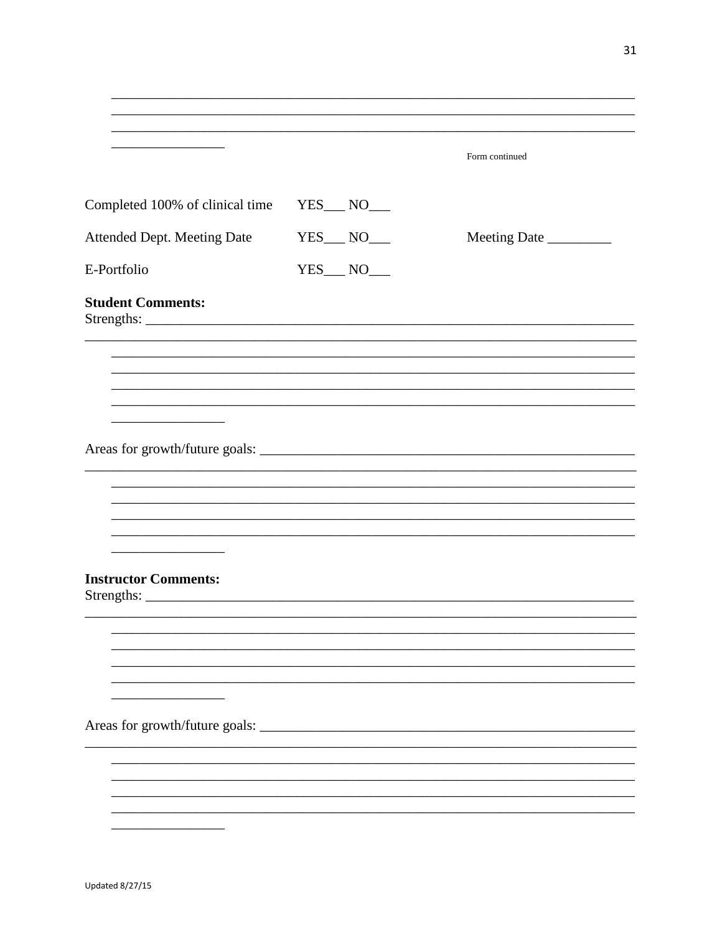|                                 |                     | Form continued |
|---------------------------------|---------------------|----------------|
|                                 |                     |                |
| Completed 100% of clinical time |                     |                |
| Attended Dept. Meeting Date     | $YES$ NO______      | Meeting Date   |
| E-Portfolio                     | $YES$ $NO$ $\qquad$ |                |
| <b>Student Comments:</b>        |                     |                |
|                                 |                     |                |
|                                 |                     |                |
|                                 |                     |                |
|                                 |                     |                |
|                                 |                     |                |
|                                 |                     |                |
|                                 |                     |                |
|                                 |                     |                |
|                                 |                     |                |
| <b>Instructor Comments:</b>     |                     |                |
|                                 |                     |                |
|                                 |                     |                |
|                                 |                     |                |
|                                 |                     |                |
|                                 |                     |                |
|                                 |                     |                |
| Areas for growth/future goals:  |                     |                |
|                                 |                     |                |
|                                 |                     |                |
|                                 |                     |                |
|                                 |                     |                |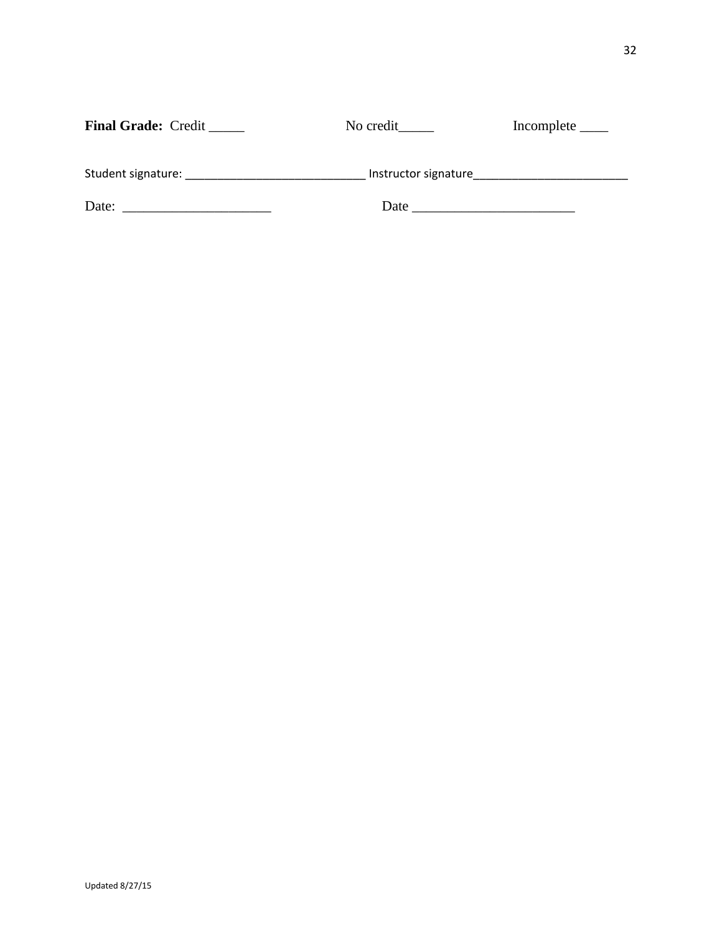| <b>Final Grade: Credit _____</b>                                                                                                                                                                                                       | No credit            |  |
|----------------------------------------------------------------------------------------------------------------------------------------------------------------------------------------------------------------------------------------|----------------------|--|
|                                                                                                                                                                                                                                        |                      |  |
| Student signature: The contract of the state of the state of the state of the state of the state of the state o                                                                                                                        | Instructor signature |  |
| Date:<br>the control of the control of the control of the control of the control of the control of the control of the control of the control of the control of the control of the control of the control of the control of the control |                      |  |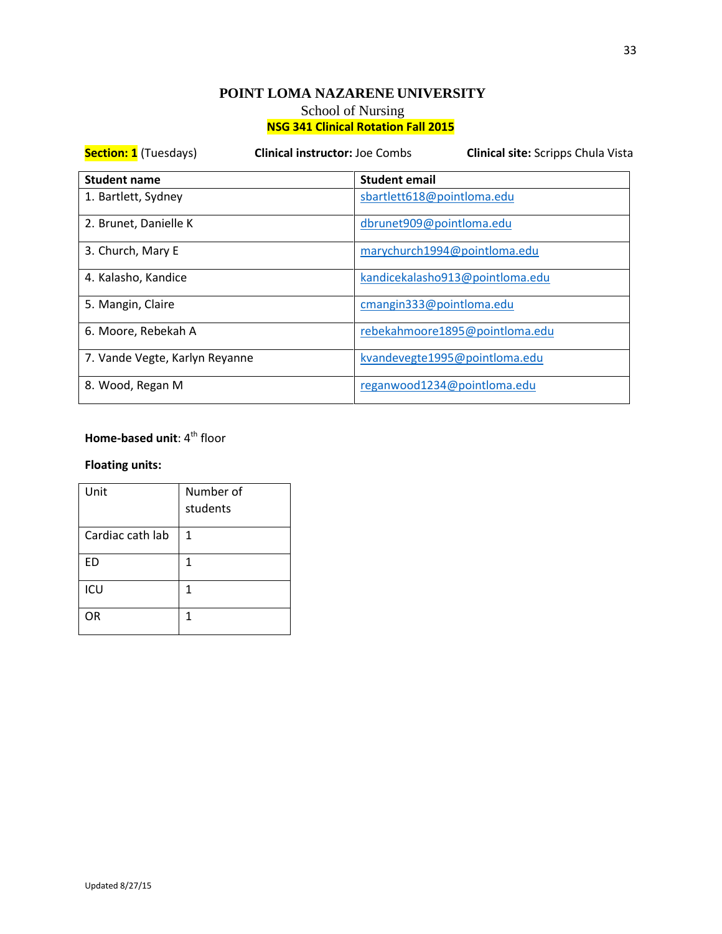| <b>Section: 1</b> (Tuesdays)   | <b>Clinical instructor: Joe Combs</b> | <b>Clinical site:</b> Scripps Chula Vista |  |
|--------------------------------|---------------------------------------|-------------------------------------------|--|
| <b>Student name</b>            | <b>Student email</b>                  |                                           |  |
| 1. Bartlett, Sydney            |                                       | sbartlett618@pointloma.edu                |  |
| 2. Brunet, Danielle K          |                                       | dbrunet909@pointloma.edu                  |  |
| 3. Church, Mary E              |                                       | marychurch1994@pointloma.edu              |  |
| 4. Kalasho, Kandice            |                                       | kandicekalasho913@pointloma.edu           |  |
| 5. Mangin, Claire              |                                       | cmangin333@pointloma.edu                  |  |
| 6. Moore, Rebekah A            |                                       | rebekahmoore1895@pointloma.edu            |  |
| 7. Vande Vegte, Karlyn Reyanne |                                       | kvandevegte1995@pointloma.edu             |  |
| 8. Wood, Regan M               |                                       | reganwood1234@pointloma.edu               |  |

## **Home-based unit: 4<sup>th</sup> floor**

| Unit             | Number of<br>students |
|------------------|-----------------------|
| Cardiac cath lab | 1                     |
| ED               | 1                     |
| ICU              | 1                     |
| OR               | 1                     |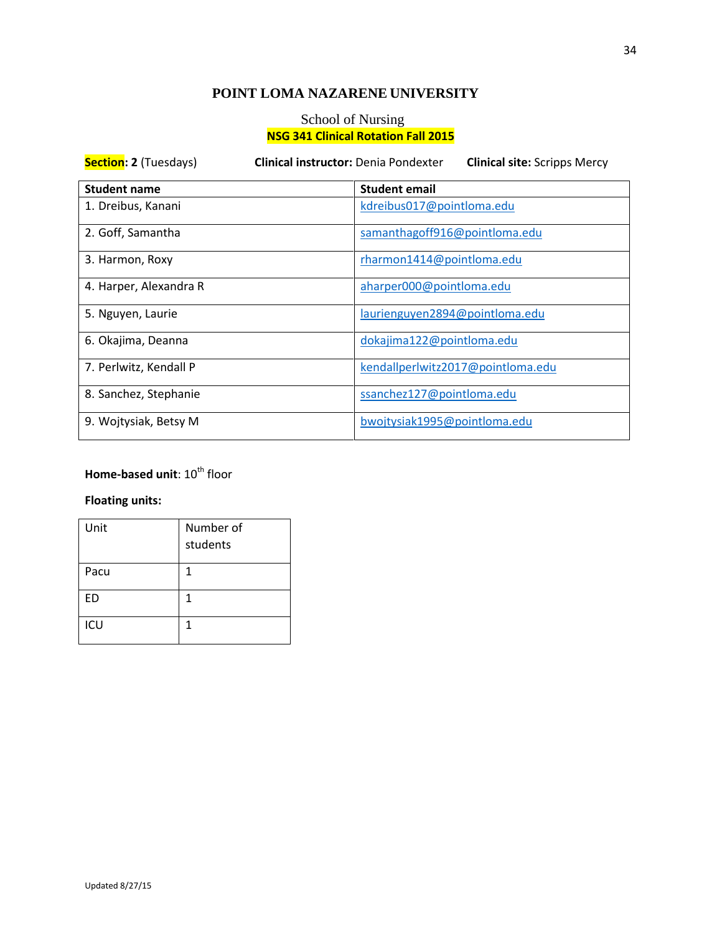## **POINT LOMA NAZARENE UNIVERSITY**

## School of Nursing **NSG 341 Clinical Rotation Fall 2015**

| <b>Section: 2 (Tuesdays)</b> | <b>Clinical instructor: Denia Pondexter</b><br><b>Clinical site: Scripps Mercy</b> |
|------------------------------|------------------------------------------------------------------------------------|
| <b>Student name</b>          | <b>Student email</b>                                                               |
| 1. Dreibus, Kanani           | kdreibus017@pointloma.edu                                                          |
| 2. Goff, Samantha            | samanthagoff916@pointloma.edu                                                      |
| 3. Harmon, Roxy              | rharmon1414@pointloma.edu                                                          |
| 4. Harper, Alexandra R       | aharper000@pointloma.edu                                                           |
| 5. Nguyen, Laurie            | laurienguyen2894@pointloma.edu                                                     |
| 6. Okajima, Deanna           | dokajima122@pointloma.edu                                                          |
| 7. Perlwitz, Kendall P       | kendallperlwitz2017@pointloma.edu                                                  |
| 8. Sanchez, Stephanie        | ssanchez127@pointloma.edu                                                          |
| 9. Wojtysiak, Betsy M        | bwojtysiak1995@pointloma.edu                                                       |

## **Home-based unit: 10<sup>th</sup> floor**

| Unit      | Number of<br>students |
|-----------|-----------------------|
| Pacu      | 1                     |
| <b>ED</b> | 1                     |
| ICU       | 1                     |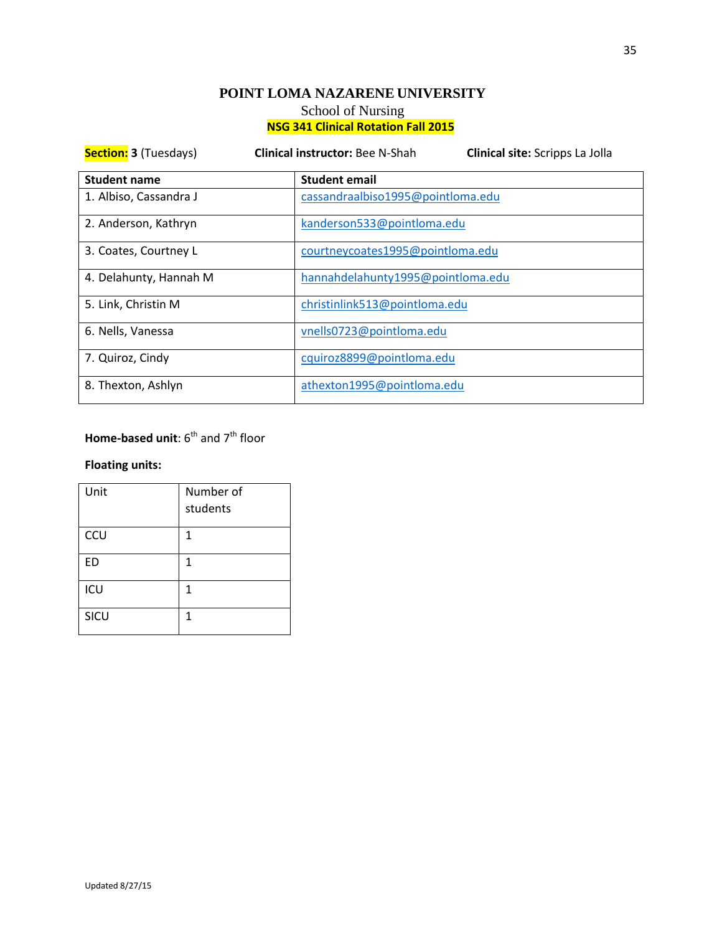| <b>Section: 3 (Tuesdays)</b> | <b>Clinical instructor: Bee N-Shah</b> | Clinical site: Scripps La Jolla  |  |
|------------------------------|----------------------------------------|----------------------------------|--|
| <b>Student name</b>          | <b>Student email</b>                   |                                  |  |
| 1. Albiso, Cassandra J       | cassandraalbiso1995@pointloma.edu      |                                  |  |
| 2. Anderson, Kathryn         |                                        | kanderson533@pointloma.edu       |  |
| 3. Coates, Courtney L        |                                        | courtneycoates1995@pointloma.edu |  |
| 4. Delahunty, Hannah M       | hannahdelahunty1995@pointloma.edu      |                                  |  |
| 5. Link, Christin M          |                                        | christinlink513@pointloma.edu    |  |
| 6. Nells, Vanessa            |                                        | vnells0723@pointloma.edu         |  |
| 7. Quiroz, Cindy             | cquiroz8899@pointloma.edu              |                                  |  |
| 8. Thexton, Ashlyn           | athexton1995@pointloma.edu             |                                  |  |

## **Home-based unit:** 6<sup>th</sup> and 7<sup>th</sup> floor

| Unit      | Number of<br>students |
|-----------|-----------------------|
| CCU       | 1                     |
| <b>ED</b> | 1                     |
| ICU       | 1                     |
| SICU      | 1                     |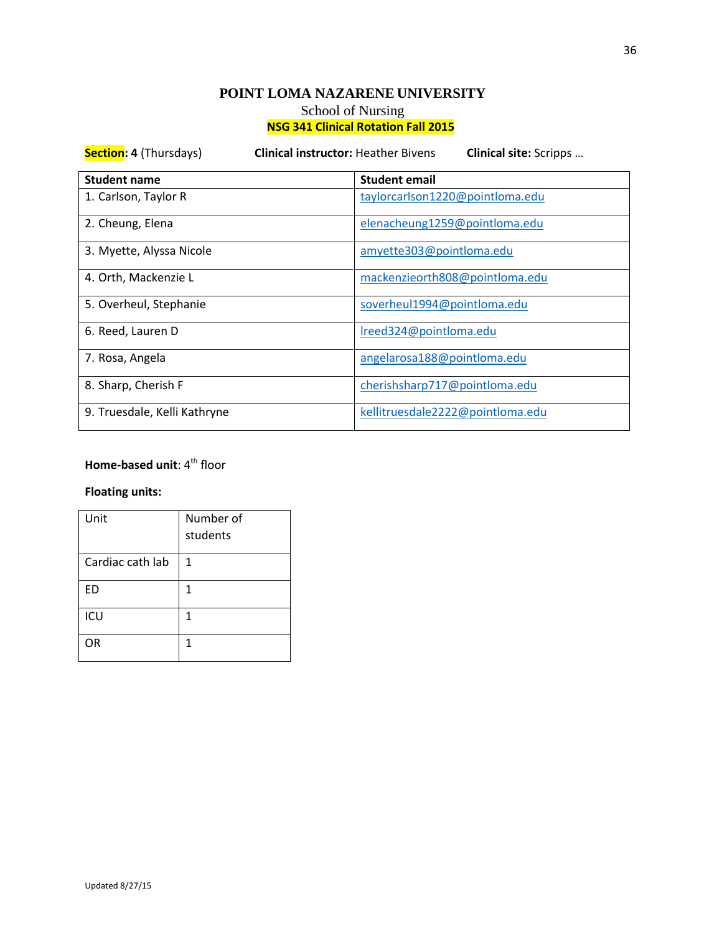**Section: 4** (Thursdays) **Clinical instructor:** Heather Bivens **Clinical site:** Scripps … **Student name Student email** 1. Carlson, Taylor R [taylorcarlson1220@pointloma.edu](https://mail.google.com/mail/?view=cm&fs=1&tf=1&shva=1&to=taylorcarlson1220@pointloma.edu) 2. Cheung, Elena elements and the [elenacheung1259@pointloma.edu](https://mail.google.com/mail/?view=cm&fs=1&tf=1&shva=1&to=elenacheung1259@pointloma.edu) 3. Myette, Alyssa Nicole [amyette303@pointloma.edu](https://mail.google.com/mail/?view=cm&fs=1&tf=1&shva=1&to=amyette303@pointloma.edu) 4. Orth, Mackenzie L [mackenzieorth808@pointloma.edu](https://mail.google.com/mail/?view=cm&fs=1&tf=1&shva=1&to=mackenzieorth808@pointloma.edu) 5. Overheul, Stephanie [soverheul1994@pointloma.edu](https://mail.google.com/mail/?view=cm&fs=1&tf=1&shva=1&to=soverheul1994@pointloma.edu) 6. Reed, Lauren D [lreed324@pointloma.edu](https://mail.google.com/mail/?view=cm&fs=1&tf=1&shva=1&to=lreed324@pointloma.edu) 7. Rosa, Angela [angelarosa188@pointloma.edu](https://mail.google.com/mail/?view=cm&fs=1&tf=1&shva=1&to=angelarosa188@pointloma.edu) 8. Sharp, Cherish F [cherishsharp717@pointloma.edu](https://mail.google.com/mail/?view=cm&fs=1&tf=1&shva=1&to=cherishsharp717@pointloma.edu) 9. Truesdale, Kelli Kathryne [kellitruesdale2222@pointloma.edu](https://mail.google.com/mail/?view=cm&fs=1&tf=1&shva=1&to=kellitruesdale2222@pointloma.edu)

## **Home-based unit:** 4<sup>th</sup> floor

| Unit             | Number of<br>students |
|------------------|-----------------------|
| Cardiac cath lab | 1                     |
| ED               | 1                     |
| ICU              | 1                     |
| OR               | 1                     |